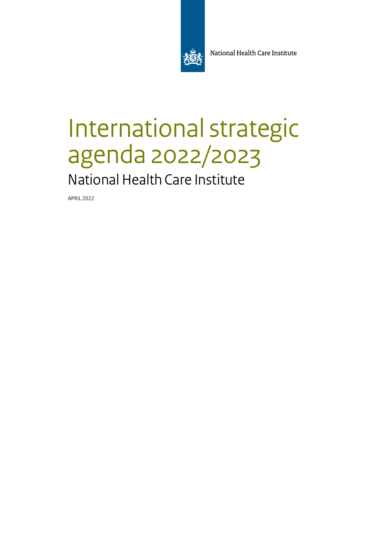

National Health Care Institute

# International strategic agenda 2022/2023

National Health Care Institute

APRIL 2022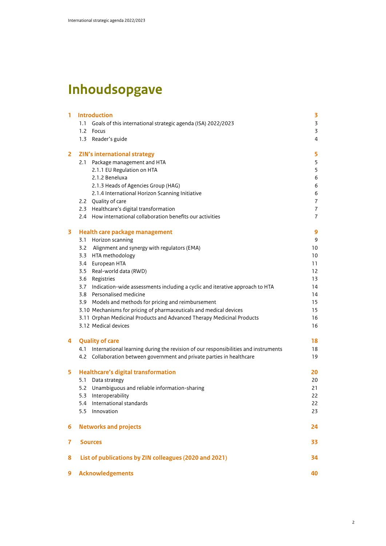## **Inhoudsopgave**

| 1              | <b>Introduction</b>                                                                            | 3              |
|----------------|------------------------------------------------------------------------------------------------|----------------|
|                | 1.1 Goals of this international strategic agenda (ISA) 2022/2023                               | $\overline{3}$ |
|                | 1.2 Focus                                                                                      | 3              |
|                | 1.3 Reader's guide                                                                             | 4              |
| $\mathbf{2}$   | <b>ZIN's international strategy</b>                                                            | 5              |
|                | 2.1 Package management and HTA                                                                 | 5              |
|                | 2.1.1 EU Regulation on HTA                                                                     | 5              |
|                | 2.1.2 Beneluxa                                                                                 | 6              |
|                | 2.1.3 Heads of Agencies Group (HAG)                                                            | 6              |
|                | 2.1.4 International Horizon Scanning Initiative                                                | 6              |
|                | 2.2 Quality of care                                                                            | $\overline{7}$ |
|                | 2.3 Healthcare's digital transformation                                                        | $\overline{7}$ |
|                | 2.4 How international collaboration benefits our activities                                    | $\overline{7}$ |
| 3              | Health care package management                                                                 | 9              |
|                | 3.1 Horizon scanning                                                                           | 9              |
|                | 3.2 Alignment and synergy with regulators (EMA)                                                | 10             |
|                | 3.3 HTA methodology                                                                            | 10             |
|                | 3.4 European HTA                                                                               | 11             |
|                | 3.5 Real-world data (RWD)                                                                      | 12             |
|                | 3.6 Registries                                                                                 | 13             |
|                | 3.7 Indication-wide assessments including a cyclic and iterative approach to HTA               | 14             |
|                | 3.8 Personalised medicine                                                                      | 14             |
|                | 3.9 Models and methods for pricing and reimbursement                                           | 15             |
|                | 3.10 Mechanisms for pricing of pharmaceuticals and medical devices                             | 15             |
|                | 3.11 Orphan Medicinal Products and Advanced Therapy Medicinal Products<br>3.12 Medical devices | 16<br>16       |
| 4              | <b>Quality of care</b>                                                                         | 18             |
|                | 4.1 International learning during the revision of our responsibilities and instruments         | 18             |
|                | 4.2 Collaboration between government and private parties in healthcare                         | 19             |
| 5              | <b>Healthcare's digital transformation</b>                                                     | 20             |
|                | 5.1 Data strategy                                                                              | 20             |
|                | 5.2 Unambiguous and reliable information-sharing                                               | 21             |
|                | 5.3 Interoperability                                                                           | 22             |
|                | 5.4 International standards                                                                    | 22             |
|                | 5.5 Innovation                                                                                 | 23             |
| 6              | <b>Networks and projects</b>                                                                   | 24             |
| $\overline{7}$ | <b>Sources</b>                                                                                 | 33             |
| 8              | List of publications by ZIN colleagues (2020 and 2021)                                         | 34             |
| 9              | <b>Acknowledgements</b>                                                                        | 40             |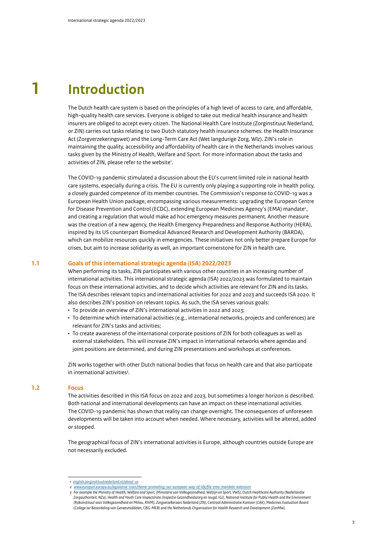# **1 Introduction**

The Dutch health care system is based on the principles of a high level of access to care, and affordable, high-quality health care services. Everyone is obliged to take out medical health insurance and health insurers are obliged to accept every citizen. The National Health Care Institute (Zorginstituut Nederland, or ZIN) carries out tasks relating to two Dutch statutory health insurance schemes: the Health Insurance Act (Zorgverzekeringswet) and the Long-Term Care Act (Wet langdurige Zorg, Wlz). ZIN's role in maintaining the quality, accessibility and affordability of health care in the Netherlands involves various tasks given by the Ministry of Health, Welfare and Sport. For more information about the tasks and activities of ZIN, please refer to the website'.

The COVID-19 pandemic stimulated a discussion about the EU's current limited role in national health care systems, especially during a crisis. The EU is currently only playing a supporting role in health policy, a closely guarded competence of its member countries. The Commission's response to COVID-19 was a European Health Union package, encompassing various measurements: upgrading the European Centre for Disease Prevention and Control (ECDC), extending European Medicines Agency's (EMA) mandate<sup>2</sup>, and creating a regulation that would make ad hoc emergency measures permanent. Another measure was the creation of a new agency, the Health Emergency Preparedness and Response Authority (HERA), inspired by its US counterpart Biomedical Advanced Research and Development Authority (BARDA), which can mobilize resources quickly in emergencies. These initiatives not only better prepare Europe for crises, but aim to increase solidarity as well, an important cornerstone for ZIN in health care.

#### **1.1 Goals of this international strategic agenda (ISA) 2022/2023**

When performing its tasks, ZIN participates with various other countries in an increasing number of international activities. This international strategic agenda (ISA) 2022/2023 was formulated to maintain focus on these international activities, and to decide which activities are relevant for ZIN and its tasks. The ISA describes relevant topics and international activities for 2022 and 2023 and succeeds ISA 2020. It also describes ZIN's position on relevant topics. As such, the ISA serves various goals:

- To provide an overview of ZIN's international activities in 2022 and 2023;
- To determine which international activities (e.g., international networks, projects and conferences) are relevant for ZIN's tasks and activities;
- To create awareness of the international corporate positions of ZIN for both colleagues as well as external stakeholders. This will increase ZIN's impact in international networks where agendas and joint positions are determined, and during ZIN presentations and workshops at conferences.

ZIN works together with other Dutch national bodies that focus on health care and that also participate in international activities<sup>3</sup>.

#### **1.2 Focus**

The activities described in this ISA focus on 2022 and 2023, but sometimes a longer horizon is described. Both national and international developments can have an impact on these international activities. The COVID-19 pandemic has shown that reality can change overnight. The consequences of unforeseen developments will be taken into account when needed. Where necessary, activities will be altered, added or stopped.

The geographical focus of ZIN's international activities is Europe, although countries outside Europe are not necessarily excluded.

3

*<sup>1</sup> [english.zorginstituutnederland.nl/about-us](http://english.zorginstituutnederland.nl/about-us)*

*<sup>2</sup> [www.europarl.europa.eu/legislative-train/theme-promoting-our-european-way-of-life/file-ema-mandate-extension](http://www.europarl.europa.eu/legislative-train/theme-promoting-our-european-way-of-life/file-ema-mandate-extension)*

*<sup>3</sup> For example the Ministry of Health, Welfare and Sport, (Ministerie van Volksgezondheid, Welzijn en Sport, VWS), Dutch Healthcare Authority (Nederlandse Zorgauthoriteit, NZa), Health and Youth Care Inspectorate (Inspectie Gezondheidszorg en Jeugd, IGJ), National Institute for Public Health and the Environment (Rijksinstituut voor Volksgezondheid en Milieu, RIVM), Zorgverzekeraars Nederland (ZN), Centraal Administratie Kantoor (CAK), Medicines Evaluation Board (College ter Beoordeling van Geneesmiddelen, CBG-MEB) and the Netherlands Organisation for Health Research and Development (ZonMw).*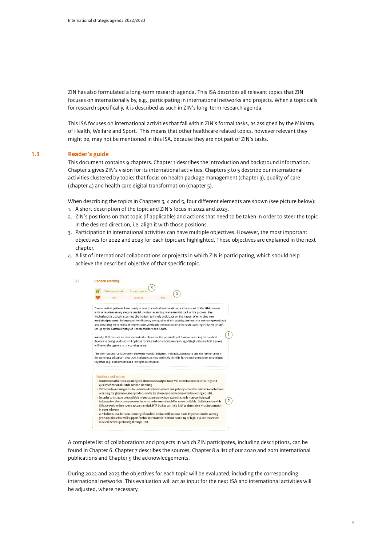ZIN has also formulated a long-term research agenda. This ISA describes all relevant topics that ZIN focuses on internationally by, e.g., participating in international networks and projects. When a topic calls for research specifically, it is described as such in ZIN's long-term research agenda.

This ISA focuses on international activities that fall within ZIN's formal tasks, as assigned by the Ministry of Health, Welfare and Sport. This means that other healthcare related topics, however relevant they might be, may not be mentioned in this ISA, because they are not part of ZIN's tasks.

#### **1.3 Reader's guide**

This document contains 9 chapters. Chapter 1 describes the introduction and background information. Chapter 2 gives ZIN's vision for its international activities. Chapters 3 to 5 describe our international activities clustered by topics that focus on health package management (chapter 3), quality of care (chapter 4) and health care digital transformation (chapter 5).

When describing the topics in Chapters 3, 4 and 5, four different elements are shown (see picture below):

- 1. A short description of the topic and ZIN's focus in 2022 and 2023.
- 2. ZIN's positions on that topic (if applicable) and actions that need to be taken in order to steer the topic in the desired direction, i.e. align it with those positions.
- 3. Participation in international activities can have multiple objectives. However, the most important objectives for 2022 and 2023 for each topic are highlighted. These objectives are explained in the next chapter
- 4. A list of international collaborations or projects in which ZIN is participating, which should help achieve the described objective of that specific topic.



A complete list of collaborations and projects in which ZIN participates, including descriptions, can be found in Chapter 6. Chapter 7 describes the sources, Chapter 8 a list of our 2020 and 2021 international publications and Chapter 9 the acknowledgements.

During 2022 and 2023 the objectives for each topic will be evaluated, including the corresponding international networks. This evaluation will act as input for the next ISA and international activities will be adjusted, where necessary.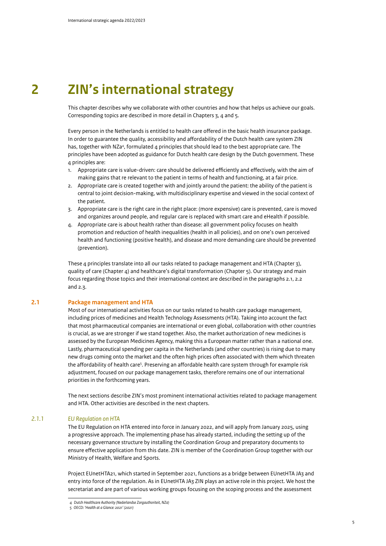### **2 ZIN's international strategy**

This chapter describes why we collaborate with other countries and how that helps us achieve our goals. Corresponding topics are described in more detail in Chapters 3, 4 and 5.

Every person in the Netherlands is entitled to health care offered in the basic health insurance package. In order to guarantee the quality, accessibility and affordability of the Dutch health care system ZIN has, together with NZa<sup>4</sup>, formulated 4 principles that should lead to the best appropriate care. The principles have been adopted as guidance for Dutch health care design by the Dutch government. These 4 principles are:

- 1. Appropriate care is value-driven: care should be delivered efficiently and effectively, with the aim of making gains that re relevant to the patient in terms of health and functioning, at a fair price.
- 2. Appropriate care is created together with and jointly around the patient: the ability of the patient is central to joint decision-making, with multidisciplinary expertise and viewed in the social context of the patient.
- 3. Appropriate care is the right care in the right place: (more expensive) care is prevented, care is moved and organizes around people, and regular care is replaced with smart care and eHealth if possible.
- 4. Appropriate care is about health rather than disease: all government policy focuses on health promotion and reduction of health inequalities (health in all policies), and on one's own perceived health and functioning (positive health), and disease and more demanding care should be prevented (prevention).

These 4 principles translate into all our tasks related to package management and HTA (Chapter 3), quality of care (Chapter 4) and healthcare's digital transformation (Chapter 5). Our strategy and main focus regarding those topics and their international context are described in the paragraphs 2.1, 2.2 and 2.3.

#### **2.1 Package management and HTA**

Most of our international activities focus on our tasks related to health care package management, including prices of medicines and Health Technology Assessments (HTA). Taking into account the fact that most pharmaceutical companies are international or even global, collaboration with other countries is crucial, as we are stronger if we stand together. Also, the market authorization of new medicines is assessed by the European Medicines Agency, making this a European matter rather than a national one. Lastly, pharmaceutical spending per capita in the Netherlands (and other countries) is rising due to many new drugs coming onto the market and the often high prices often associated with them which threaten the affordability of health care<sup>5</sup>. Preserving an affordable health care system through for example risk adjustment, focused on our package management tasks, therefore remains one of our international priorities in the forthcoming years.

The next sections describe ZIN's most prominent international activities related to package management and HTA. Other activities are described in the next chapters.

#### *2.1.1 EU Regulation on HTA*

The EU Regulation on HTA entered into force in January 2022, and will apply from January 2025, using a progressive approach. The implementing phase has already started, including the setting up of the necessary governance structure by installing the Coordination Group and preparatory documents to ensure effective application from this date. ZIN is member of the Coordination Group together with our Ministry of Health, Welfare and Sports.

Project EUnetHTA21, which started in September 2021, functions as a bridge between EUnetHTA JA3 and entry into force of the regulation. As in EUnetHTA JA3 ZIN plays an active role in this project. We host the secretariat and are part of various working groups focusing on the scoping process and the assessment

*<sup>4</sup> Dutch Healthcare Authority (Nederlandse Zorgauthoriteit, NZa)*

*<sup>5</sup> OECD: 'Health at a Glance: 2021' (2021)*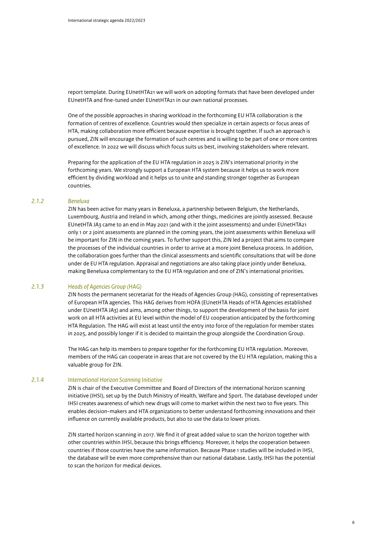report template. During EUnetHTA21 we will work on adopting formats that have been developed under EUnetHTA and fine-tuned under EUnetHTA21 in our own national processes.

One of the possible approaches in sharing workload in the forthcoming EU HTA collaboration is the formation of centres of excellence. Countries would then specialize in certain aspects or focus areas of HTA, making collaboration more efficient because expertise is brought together. If such an approach is pursued, ZIN will encourage the formation of such centres and is willing to be part of one or more centres of excellence. In 2022 we will discuss which focus suits us best, involving stakeholders where relevant.

Preparing for the application of the EU HTA regulation in 2025 is ZIN's international priority in the forthcoming years. We strongly support a European HTA system because it helps us to work more efficient by dividing workload and it helps us to unite and standing stronger together as European countries.

#### *2.1.2 Beneluxa*

ZIN has been active for many years in Beneluxa, a partnership between Belgium, the Netherlands, Luxembourg, Austria and Ireland in which, among other things, medicines are jointly assessed. Because EUnetHTA JA3 came to an end in May 2021 (and with it the joint assessments) and under EUnetHTA21 only 1 or 2 joint assessments are planned in the coming years, the joint assessments within Beneluxa will be important for ZIN in the coming years. To further support this, ZIN led a project that aims to compare the processes of the individual countries in order to arrive at a more joint Beneluxa process. In addition, the collaboration goes further than the clinical assessments and scientific consultations that will be done under de EU HTA regulation. Appraisal and negotiations are also taking place jointly under Beneluxa, making Beneluxa complementary to the EU HTA regulation and one of ZIN's international priorities.

#### *2.1.3 Heads of Agencies Group (HAG)*

ZIN hosts the permanent secretariat for the Heads of Agencies Group (HAG), consisting of representatives of European HTA agencies. This HAG derives from HOFA (EUnetHTA Heads of HTA Agencies established under EUnetHTA JA3) and aims, among other things, to support the development of the basis for joint work on all HTA activities at EU level within the model of EU cooperation anticipated by the forthcoming HTA Regulation. The HAG will exist at least until the entry into force of the regulation for member states in 2025, and possibly longer if it is decided to maintain the group alongside the Coordination Group.

The HAG can help its members to prepare together for the forthcoming EU HTA regulation. Moreover, members of the HAG can cooperate in areas that are not covered by the EU HTA regulation, making this a valuable group for ZIN.

#### *2.1.4 International Horizon Scanning Initiative*

ZIN is chair of the Executive Committee and Board of Directors of the international horizon scanning initiative (IHSI), set up by the Dutch Ministry of Health, Welfare and Sport. The database developed under IHSI creates awareness of which new drugs will come to market within the next two to five years. This enables decision-makers and HTA organizations to better understand forthcoming innovations and their influence on currently available products, but also to use the data to lower prices.

ZIN started horizon scanning in 2017. We find it of great added value to scan the horizon together with other countries within IHSI, because this brings efficiency. Moreover, it helps the cooperation between countries if those countries have the same information. Because Phase 1 studies will be included in IHSI, the database will be even more comprehensive than our national database. Lastly, IHSI has the potential to scan the horizon for medical devices.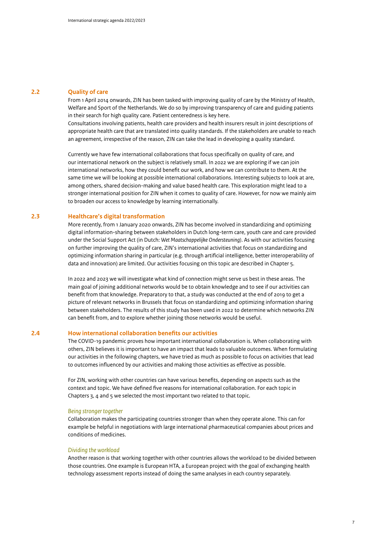#### **2.2 Quality of care**

From 1 April 2014 onwards, ZIN has been tasked with improving quality of care by the Ministry of Health, Welfare and Sport of the Netherlands. We do so by improving transparency of care and guiding patients in their search for high quality care. Patient centeredness is key here.

Consultations involving patients, health care providers and health insurers result in joint descriptions of appropriate health care that are translated into quality standards. If the stakeholders are unable to reach an agreement, irrespective of the reason, ZIN can take the lead in developing a quality standard.

Currently we have few international collaborations that focus specifically on quality of care, and our international network on the subject is relatively small. In 2022 we are exploring if we can join international networks, how they could benefit our work, and how we can contribute to them. At the same time we will be looking at possible international collaborations. Interesting subjects to look at are, among others, shared decision-making and value based health care. This exploration might lead to a stronger international position for ZIN when it comes to quality of care. However, for now we mainly aim to broaden our access to knowledge by learning internationally.

#### **2.3 Healthcare's digital transformation**

More recently, from 1 January 2020 onwards, ZIN has become involved in standardizing and optimizing digital information-sharing between stakeholders in Dutch long-term care, youth care and care provided under the Social Support Act (in Dutch: *Wet Maatschappelijke Ondersteuning)*. As with our activities focusing on further improving the quality of care, ZIN's international activities that focus on standardizing and optimizing information sharing in particular (e.g. through artificial intelligence, better interoperability of data and innovation) are limited. Our activities focusing on this topic are described in Chapter 5.

In 2022 and 2023 we will investigate what kind of connection might serve us best in these areas. The main goal of joining additional networks would be to obtain knowledge and to see if our activities can benefit from that knowledge. Preparatory to that, a study was conducted at the end of 2019 to get a picture of relevant networks in Brussels that focus on standardizing and optimizing information sharing between stakeholders. The results of this study has been used in 2022 to determine which networks ZIN can benefit from, and to explore whether joining those networks would be useful.

#### **2.4 How international collaboration benefits our activities**

The COVID-19 pandemic proves how important international collaboration is. When collaborating with others, ZIN believes it is important to have an impact that leads to valuable outcomes. When formulating our activities in the following chapters, we have tried as much as possible to focus on activities that lead to outcomes influenced by our activities and making those activities as effective as possible.

For ZIN, working with other countries can have various benefits, depending on aspects such as the context and topic. We have defined five reasons for international collaboration. For each topic in Chapters 3, 4 and 5 we selected the most important two related to that topic.

#### *Being stronger together*

Collaboration makes the participating countries stronger than when they operate alone. This can for example be helpful in negotiations with large international pharmaceutical companies about prices and conditions of medicines.

#### *Dividing the workload*

Another reason is that working together with other countries allows the workload to be divided between those countries. One example is European HTA, a European project with the goal of exchanging health technology assessment reports instead of doing the same analyses in each country separately.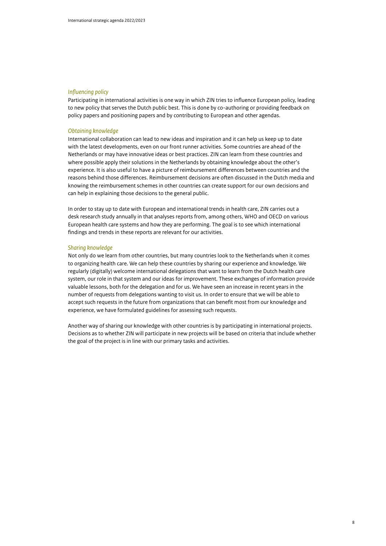#### *Influencing policy*

Participating in international activities is one way in which ZIN tries to influence European policy, leading to new policy that serves the Dutch public best. This is done by co-authoring or providing feedback on policy papers and positioning papers and by contributing to European and other agendas.

#### *Obtaining knowledge*

International collaboration can lead to new ideas and inspiration and it can help us keep up to date with the latest developments, even on our front runner activities. Some countries are ahead of the Netherlands or may have innovative ideas or best practices. ZIN can learn from these countries and where possible apply their solutions in the Netherlands by obtaining knowledge about the other's experience. It is also useful to have a picture of reimbursement differences between countries and the reasons behind those differences. Reimbursement decisions are often discussed in the Dutch media and knowing the reimbursement schemes in other countries can create support for our own decisions and can help in explaining those decisions to the general public.

In order to stay up to date with European and international trends in health care, ZIN carries out a desk research study annually in that analyses reports from, among others, WHO and OECD on various European health care systems and how they are performing. The goal is to see which international findings and trends in these reports are relevant for our activities.

#### *Sharing knowledge*

Not only do we learn from other countries, but many countries look to the Netherlands when it comes to organizing health care. We can help these countries by sharing our experience and knowledge. We regularly (digitally) welcome international delegations that want to learn from the Dutch health care system, our role in that system and our ideas for improvement. These exchanges of information provide valuable lessons, both for the delegation and for us. We have seen an increase in recent years in the number of requests from delegations wanting to visit us. In order to ensure that we will be able to accept such requests in the future from organizations that can benefit most from our knowledge and experience, we have formulated guidelines for assessing such requests.

Another way of sharing our knowledge with other countries is by participating in international projects. Decisions as to whether ZIN will participate in new projects will be based on criteria that include whether the goal of the project is in line with our primary tasks and activities.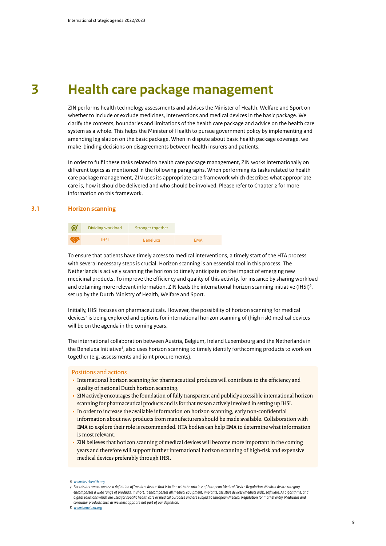### **3 Health care package management**

ZIN performs health technology assessments and advises the Minister of Health, Welfare and Sport on whether to include or exclude medicines, interventions and medical devices in the basic package. We clarify the contents, boundaries and limitations of the health care package and advice on the health care system as a whole. This helps the Minister of Health to pursue government policy by implementing and amending legislation on the basic package. When in dispute about basic health package coverage, we make binding decisions on disagreements between health insurers and patients.

In order to fulfil these tasks related to health care package management, ZIN works internationally on different topics as mentioned in the following paragraphs. When performing its tasks related to health care package management, ZIN uses its appropriate care framework which describes what appropriate care is, how it should be delivered and who should be involved. Please refer to Chapter 2 for more information on this framework.

#### **3.1 Horizon scanning**

| <u>ଙ୍ଗ</u> | Dividing workload | Stronger together |            |
|------------|-------------------|-------------------|------------|
|            | <b>IHSI</b>       | <b>Beneluxa</b>   | <b>FMA</b> |

To ensure that patients have timely access to medical interventions, a timely start of the HTA process with several necessary steps is crucial. Horizon scanning is an essential tool in this process. The Netherlands is actively scanning the horizon to timely anticipate on the impact of emerging new medicinal products. To improve the efficiency and quality of this activity, for instance by sharing workload and obtaining more relevant information, ZIN leads the international horizon scanning initiative (IHSI)<sup>6</sup>, set up by the Dutch Ministry of Health, Welfare and Sport.

Initially, IHSI focuses on pharmaceuticals. However, the possibility of horizon scanning for medical devices<sup>7</sup> is being explored and options for international horizon scanning of (high risk) medical devices will be on the agenda in the coming years.

The international collaboration between Austria, Belgium, Ireland Luxembourg and the Netherlands in the Beneluxa Initiative<sup>8</sup>, also uses horizon scanning to timely identify forthcoming products to work on together (e.g. assessments and joint procurements).

- International horizon scanning for pharmaceutical products will contribute to the efficiency and quality of national Dutch horizon scanning.
- ZIN actively encourages the foundation of fully transparent and publicly accessible international horizon scanning for pharmaceutical products and is for that reason actively involved in setting up IHSI.
- In order to increase the available information on horizon scanning, early non-confidential information about new products from manufacturers should be made available. Collaboration with EMA to explore their role is recommended. HTA bodies can help EMA to determine what information is most relevant.
- ZIN believes that horizon scanning of medical devices will become more important in the coming years and therefore will support further international horizon scanning of high-risk and expensive medical devices preferably through IHSI.

*<sup>6</sup> [www.ihsi-health.org](http://www.ihsi-health.org)*

*<sup>7</sup> For this document we use a definition of 'medical device' that is in line with the article 2 of European Medical Device Regulation. Medical device category encompasses a wide range of products. In short, it encompasses all medical equipment, implants, assistive devices (medical aids), software, AI algorithms, and*  digital solutions which are used for specific health care or medical purposes and are subject to European Medical Regulation for market entry. Medicines and *consumer products such as wellness apps are not part of our definition.*

*<sup>8</sup> [www.beneluxa.org](http://www.beneluxa.org)*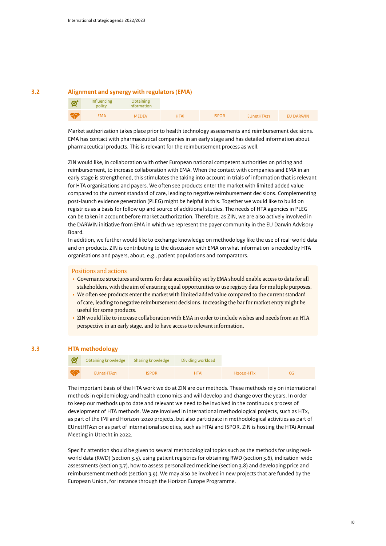#### **3.2 Alignment and synergy with regulators (EMA)**

| প্র | Influencing<br>policy | <b>Obtaining</b><br>information |             |              |                        |                  |
|-----|-----------------------|---------------------------------|-------------|--------------|------------------------|------------------|
| LA  | <b>EMA</b>            | <b>MEDEV</b>                    | <b>HTAi</b> | <b>ISPOR</b> | EUnetHTA <sub>21</sub> | <b>EU DARWIN</b> |

Market authorization takes place prior to health technology assessments and reimbursement decisions. EMA has contact with pharmaceutical companies in an early stage and has detailed information about pharmaceutical products. This is relevant for the reimbursement process as well.

ZIN would like, in collaboration with other European national competent authorities on pricing and reimbursement, to increase collaboration with EMA. When the contact with companies and EMA in an early stage is strengthened, this stimulates the taking into account in trials of information that is relevant for HTA organisations and payers. We often see products enter the market with limited added value compared to the current standard of care, leading to negative reimbursement decisions. Complementing post-launch evidence generation (PLEG) might be helpful in this. Together we would like to build on registries as a basis for follow up and source of additional studies. The needs of HTA agencies in PLEG can be taken in account before market authorization. Therefore, as ZIN, we are also actively involved in the DARWIN initiative from EMA in which we represent the payer community in the EU Darwin Advisory Board.

In addition, we further would like to exchange knowledge on methodology like the use of real-world data and on products. ZIN is contributing to the discussion with EMA on what information is needed by HTA organisations and payers, about, e.g., patient populations and comparators.

#### Positions and actions

- Governance structures and terms for data accessibility set by EMA should enable access to data for all stakeholders, with the aim of ensuring equal opportunities to use registry data for multiple purposes.
- We often see products enter the market with limited added value compared to the current standard of care, leading to negative reimbursement decisions. Increasing the bar for market entry might be useful for some products.
- ZIN would like to increase collaboration with EMA in order to include wishes and needs from an HTA perspective in an early stage, and to have access to relevant information.

#### **3.3 HTA methodology**

| $\mathcal{G}^*$ | Obtaining knowledge Sharing knowledge |              | Dividing workload |             |  |
|-----------------|---------------------------------------|--------------|-------------------|-------------|--|
| KS              | EUnetHTA21                            | <b>ISPOR</b> | <b>HTAi</b>       | $H2020-HTx$ |  |

The important basis of the HTA work we do at ZIN are our methods. These methods rely on international methods in epidemiology and health economics and will develop and change over the years. In order to keep our methods up to date and relevant we need to be involved in the continuous process of development of HTA methods. We are involved in international methodological projects, such as HTx, as part of the IMI and Horizon-2020 projects, but also participate in methodological activities as part of EUnetHTA21 or as part of international societies, such as HTAi and ISPOR. ZIN is hosting the HTAi Annual Meeting in Utrecht in 2022.

Specific attention should be given to several methodological topics such as the methods for using realworld data (RWD) (section 3.5), using patient registries for obtaining RWD (section 3.6), indication-wide assessments (section 3.7), how to assess personalized medicine (section 3.8) and developing price and reimbursement methods (section 3.9). We may also be involved in new projects that are funded by the European Union, for instance through the Horizon Europe Programme.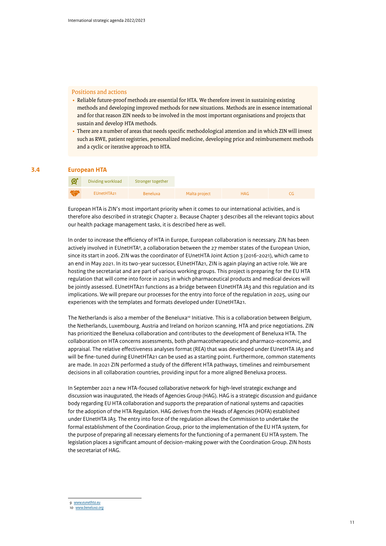#### Positions and actions

- Reliable future-proof methods are essential for HTA. We therefore invest in sustaining existing methods and developing improved methods for new situations. Methods are in essence international and for that reason ZIN needs to be involved in the most important organisations and projects that sustain and develop HTA methods.
- There are a number of areas that needs specific methodological attention and in which ZIN will invest such as RWE, patient registries, personalized medicine, developing price and reimbursement methods and a cyclic or iterative approach to HTA.

#### **3.4 European HTA**

| $\mathbb{C}^*$ | Dividing workload | Stronger together |               |            |  |
|----------------|-------------------|-------------------|---------------|------------|--|
| <b>KS</b>      | EUnetHTA21        | Beneluxa          | Malta project | <b>HAG</b> |  |

European HTA is ZIN's most important priority when it comes to our international activities, and is therefore also described in strategic Chapter 2. Because Chapter 3 describes all the relevant topics about our health package management tasks, it is described here as well.

In order to increase the efficiency of HTA in Europe, European collaboration is necessary. ZIN has been actively involved in EUnetHTA<sup>9</sup>, a collaboration between the 27 member states of the European Union, since its start in 2006. ZIN was the coordinator of EUnetHTA Joint Action 3 (2016-2021), which came to an end in May 2021. In its two-year successor, EUnetHTA21, ZIN is again playing an active role. We are hosting the secretariat and are part of various working groups. This project is preparing for the EU HTA regulation that will come into force in 2025 in which pharmaceutical products and medical devices will be jointly assessed. EUnetHTA21 functions as a bridge between EUnetHTA JA3 and this regulation and its implications. We will prepare our processes for the entry into force of the regulation in 2025, using our experiences with the templates and formats developed under EUnetHTA21.

The Netherlands is also a member of the Beneluxa<sup>10</sup> Initiative. This is a collaboration between Belgium, the Netherlands, Luxembourg, Austria and Ireland on horizon scanning, HTA and price negotiations. ZIN has prioritized the Beneluxa collaboration and contributes to the development of Beneluxa HTA. The collaboration on HTA concerns assessments, both pharmacotherapeutic and pharmaco-economic, and appraisal. The relative effectiveness analyses format (REA) that was developed under EUnetHTA JA3 and will be fine-tuned during EUnetHTA21 can be used as a starting point. Furthermore, common statements are made. In 2021 ZIN performed a study of the different HTA pathways, timelines and reimbursement decisions in all collaboration countries, providing input for a more aligned Beneluxa process.

In September 2021 a new HTA-focused collaborative network for high-level strategic exchange and discussion was inaugurated, the Heads of Agencies Group (HAG). HAG is a strategic discussion and guidance body regarding EU HTA collaboration and supports the preparation of national systems and capacities for the adoption of the HTA Regulation. HAG derives from the Heads of Agencies (HOFA) established under EUnetHTA JA3. The entry into force of the regulation allows the Commission to undertake the formal establishment of the Coordination Group, prior to the implementation of the EU HTA system, for the purpose of preparing all necessary elements for the functioning of a permanent EU HTA system. The legislation places a significant amount of decision-making power with the Coordination Group. ZIN hosts the secretariat of HAG.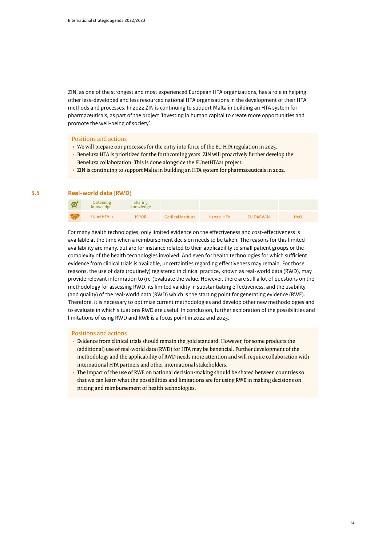ZIN, as one of the strongest and most experienced European HTA organizations, has a role in helping other less-developed and less resourced national HTA organisations in the development of their HTA methods and processes. In 2022 ZIN is continuing to support Malta in building an HTA system for pharmaceuticals, as part of the project 'Investing in human capital to create more opportunities and promote the well-being of society'.

#### Positions and actions

- We will prepare our processes for the entry into force of the EU HTA regulation in 2025.
- Beneluxa HTA is prioritized for the forthcoming years. ZIN will proactively further develop the Beneluxa collaboration. This is done alongside the EUnetHTA21 project.
- ZIN is continuing to support Malta in building an HTA system for pharmaceuticals in 2022.

#### **3.5 Real-world data (RWD)**

| প্ৰ       | <b>Obtaining</b><br>knowledge | Sharing<br>knowledge |                          |             |                  |                  |
|-----------|-------------------------------|----------------------|--------------------------|-------------|------------------|------------------|
| <b>KS</b> | EUnetHTA21                    | <b>ISPOR</b>         | <b>GetReal Institute</b> | $H2020-HTx$ | <b>EU DARWIN</b> | H <sub>2</sub> O |

For many health technologies, only limited evidence on the effectiveness and cost-effectiveness is available at the time when a reimbursement decision needs to be taken. The reasons for this limited availability are many, but are for instance related to their applicability to small patient groups or the complexity of the health technologies involved. And even for health technologies for which sufficient evidence from clinical trials is available, uncertainties regarding effectiveness may remain. For those reasons, the use of data (routinely) registered in clinical practice, known as real-world data (RWD), may provide relevant information to (re-)evaluate the value. However, there are still a lot of questions on the methodology for assessing RWD, its limited validity in substantiating effectiveness, and the usability (and quality) of the real-world data (RWD) which is the starting point for generating evidence (RWE). Therefore, it is necessary to optimize current methodologies and develop other new methodologies and to evaluate in which situations RWD are useful. In conclusion, further exploration of the possibilities and limitations of using RWD and RWE is a focus point in 2022 and 2023.

- Evidence from clinical trials should remain the gold standard. However, for some products the (additional) use of real-world data (RWD) for HTA may be beneficial. Further development of the methodology and the applicability of RWD needs more attention and will require collaboration with international HTA partners and other international stakeholders.
- The impact of the use of RWE on national decision-making should be shared between countries so that we can learn what the possibilities and limitations are for using RWE in making decisions on pricing and reimbursement of health technologies.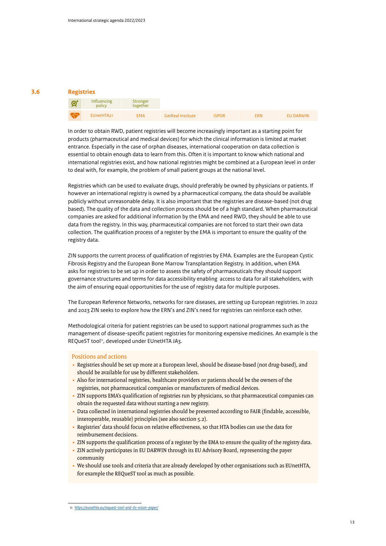#### **3.6 Registries**

#### Influencing Stronger  $\bm{G}$ policy together EUnetHTA21 EMA GetReal Institute ISPOR ERN EU DARWIN

In order to obtain RWD, patient registries will become increasingly important as a starting point for products (pharmaceutical and medical devices) for which the clinical information is limited at market entrance. Especially in the case of orphan diseases, international cooperation on data collection is essential to obtain enough data to learn from this. Often it is important to know which national and international registries exist, and how national registries might be combined at a European level in order to deal with, for example, the problem of small patient groups at the national level.

Registries which can be used to evaluate drugs, should preferably be owned by physicians or patients. If however an international registry is owned by a pharmaceutical company, the data should be available publicly without unreasonable delay. It is also important that the registries are disease-based (not drug based). The quality of the data and collection process should be of a high standard. When pharmaceutical companies are asked for additional information by the EMA and need RWD, they should be able to use data from the registry. In this way, pharmaceutical companies are not forced to start their own data collection. The qualification process of a register by the EMA is important to ensure the quality of the registry data.

ZIN supports the current process of qualification of registries by EMA. Examples are the European Cystic Fibrosis Registry and the European Bone Marrow Transplantation Registry. In addition, when EMA asks for registries to be set up in order to assess the safety of pharmaceuticals they should support governance structures and terms for data accessibility enabling access to data for all stakeholders, with the aim of ensuring equal opportunities for the use of registry data for multiple purposes.

The European Reference Networks, networks for rare diseases, are setting up European registries. In 2022 and 2023 ZIN seeks to explore how the ERN's and ZIN's need for registries can reinforce each other.

Methodological criteria for patient registries can be used to support national programmes such as the management of disease-specific patient registries for monitoring expensive medicines. An example is the REQueST tool<sup>11</sup>, developed under EUnetHTA JA3.

- Registries should be set up more at a European level, should be disease-based (not drug-based), and should be available for use by different stakeholders.
- Also for international registries, healthcare providers or patients should be the owners of the registries, not pharmaceutical companies or manufacturers of medical devices.
- ZIN supports EMA's qualification of registries run by physicians, so that pharmaceutical companies can obtain the requested data without starting a new registry.
- Data collected in international registries should be presented according to FAIR (findable, accessible, interoperable, reusable) principles (see also section 5.2).
- Registries' data should focus on relative effectiveness, so that HTA bodies can use the data for reimbursement decisions.
- ZIN supports the qualification process of a register by the EMA to ensure the quality of the registry data.
- ZIN actively participates in EU DARWIN through its EU Advisory Board, representing the payer community
- We should use tools and criteria that are already developed by other organisations such as EUnetHTA, for example the REQueST tool as much as possible.

*<sup>11</sup> <https://eunethta.eu/request-tool-and-its-vision-paper/>*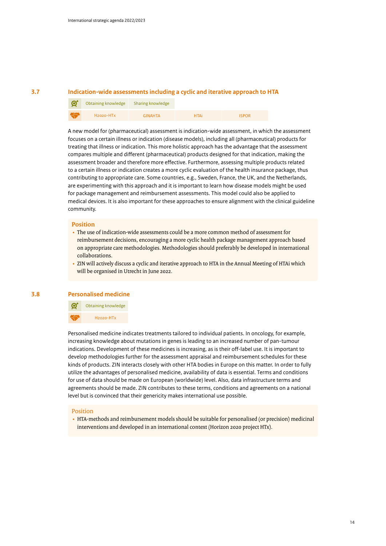#### **3.7 Indication-wide assessments including a cyclic and iterative approach to HTA**

| ିସ        | Obtaining knowledge                | Sharing knowledge |             |              |
|-----------|------------------------------------|-------------------|-------------|--------------|
| <b>KS</b> | H <sub>2020</sub> -HT <sub>x</sub> | <b>GINAHTA</b>    | <b>HTAi</b> | <b>ISPOR</b> |

A new model for (pharmaceutical) assessment is indication-wide assessment, in which the assessment focuses on a certain illness or indication (disease models), including all (pharmaceutical) products for treating that illness or indication. This more holistic approach has the advantage that the assessment compares multiple and different (pharmaceutical) products designed for that indication, making the assessment broader and therefore more effective. Furthermore, assessing multiple products related to a certain illness or indication creates a more cyclic evaluation of the health insurance package, thus contributing to appropriate care. Some countries, e.g., Sweden, France, the UK, and the Netherlands, are experimenting with this approach and it is important to learn how disease models might be used for package management and reimbursement assessments. This model could also be applied to medical devices. It is also important for these approaches to ensure alignment with the clinical guideline community.

#### **Position**

- The use of indication-wide assessments could be a more common method of assessment for reimbursement decisions, encouraging a more cyclic health package management approach based on appropriate care methodologies. Methodologies should preferably be developed in international collaborations.
- ZIN will actively discuss a cyclic and iterative approach to HTA in the Annual Meeting of HTAi which will be organised in Utrecht in June 2022.

#### **3.8 Personalised medicine**



Personalised medicine indicates treatments tailored to individual patients. In oncology, for example, increasing knowledge about mutations in genes is leading to an increased number of pan-tumour indications. Development of these medicines is increasing, as is their off-label use. It is important to develop methodologies further for the assessment appraisal and reimbursement schedules for these kinds of products. ZIN interacts closely with other HTA bodies in Europe on this matter. In order to fully utilize the advantages of personalised medicine, availability of data is essential. Terms and conditions for use of data should be made on European (worldwide) level. Also, data infrastructure terms and agreements should be made. ZIN contributes to these terms, conditions and agreements on a national level but is convinced that their genericity makes international use possible.

#### Position

• HTA-methods and reimbursement models should be suitable for personalised (or precision) medicinal interventions and developed in an international context (Horizon 2020 project HTx).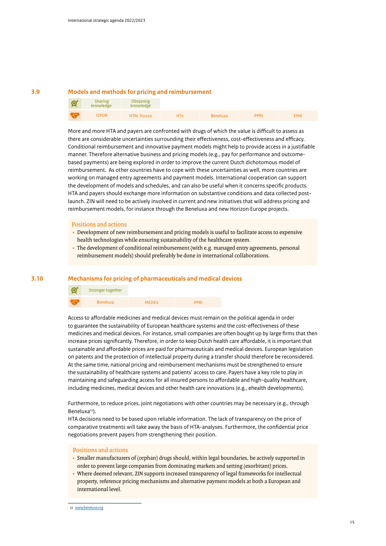#### **3.9 Models and methods for pricing and reimbursement**

| $\mathcal{G}^{\star}$ | <b>Sharing</b><br>knowledge | <b>Obtaining</b><br>knowledge |            |                 |             |            |
|-----------------------|-----------------------------|-------------------------------|------------|-----------------|-------------|------------|
| <b>AGS</b>            | <b>ISPOR</b>                | HTAi H2020                    | <b>HTx</b> | <b>Beneluxa</b> | <b>PPRI</b> | <b>EMA</b> |

More and more HTA and payers are confronted with drugs of which the value is difficult to assess as there are considerable uncertainties surrounding their effectiveness, cost-effectiveness and efficacy. Conditional reimbursement and innovative payment models might help to provide access in a justifiable manner. Therefore alternative business and pricing models (e.g., pay for performance and outcomebased payments) are being explored in order to improve the current Dutch dichotomous model of reimbursement. As other countries have to cope with these uncertainties as well, more countries are working on managed entry agreements and payment models. International cooperation can support the development of models and schedules, and can also be useful when it concerns specific products. HTA and payers should exchange more information on substantive conditions and data collected postlaunch. ZIN will need to be actively involved in current and new initiatives that will address pricing and reimbursement models, for instance through the Beneluxa and new Horizon Europe projects.

#### Positions and actions

- Development of new reimbursement and pricing models is useful to facilitate access to expensive health technologies while ensuring sustainability of the healthcare system.
- The development of conditional reimbursement (with e.g. managed entry agreements, personal reimbursement models) should preferably be done in international collaborations.

#### **3.10 Mechanisms for pricing of pharmaceuticals and medical devices**

| $\mathcal{G}^*$ | Stronger together |              |             |
|-----------------|-------------------|--------------|-------------|
| $\sim$          | <b>Beneluxa</b>   | <b>MEDEV</b> | <b>PPRI</b> |

Access to affordable medicines and medical devices must remain on the political agenda in order to guarantee the sustainability of European healthcare systems and the cost-effectiveness of these medicines and medical devices. For instance, small companies are often bought up by large firms that then increase prices significantly. Therefore, in order to keep Dutch health care affordable, it is important that sustainable and affordable prices are paid for pharmaceuticals and medical devices. European legislation on patents and the protection of intellectual property during a transfer should therefore be reconsidered. At the same time, national pricing and reimbursement mechanisms must be strengthened to ensure the sustainability of healthcare systems and patients' access to care. Payers have a key role to play in maintaining and safeguarding access for all insured persons to affordable and high-quality healthcare, including medicines, medical devices and other health care innovations (e.g., ehealth developments).

Furthermore, to reduce prices, joint negotiations with other countries may be necessary (e.g., through Beneluxa12).

HTA decisions need to be based upon reliable information. The lack of transparency on the price of comparative treatments will take away the basis of HTA-analyses. Furthermore, the confidential price negotiations prevent payers from strengthening their position.

- Smaller manufacturers of (orphan) drugs should, within legal boundaries, be actively supported in order to prevent large companies from dominating markets and setting (exorbitant) prices.
- Where deemed relevant, ZIN supports increased transparency of legal frameworks for intellectual property, reference pricing mechanisms and alternative payment models at both a European and international level.

*<sup>12</sup> [www.beneluxa.org](http://www.beneluxa.org)*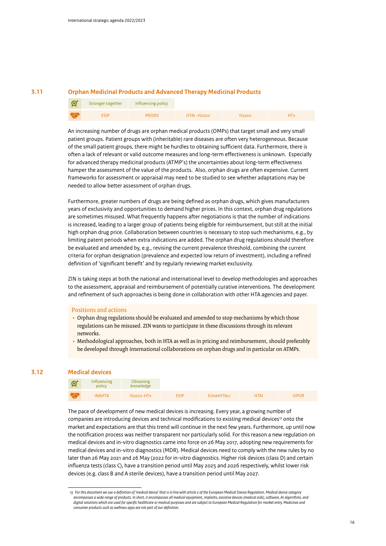#### **3.11 Orphan Medicinal Products and Advanced Therapy Medicinal Products**

| $\boldsymbol{\alpha}$ | Stronger together | Influencing policy |            |                   |  |
|-----------------------|-------------------|--------------------|------------|-------------------|--|
| <b>AGE</b>            | <b>ESIP</b>       | <b>MEDEV</b>       | HTAi-H2020 | H <sub>2020</sub> |  |

An increasing number of drugs are orphan medical products (OMPs) that target small and very small patient groups. Patient groups with (inheritable) rare diseases are often very heterogeneous. Because of the small patient groups, there might be hurdles to obtaining sufficient data. Furthermore, there is often a lack of relevant or valid outcome measures and long-term effectiveness is unknown. Especially for advanced therapy medicinal products (ATMP's) the uncertainties about long-term effectiveness hamper the assessment of the value of the products. Also, orphan drugs are often expensive. Current frameworks for assessment or appraisal may need to be studied to see whether adaptations may be needed to allow better assessment of orphan drugs.

Furthermore, greater numbers of drugs are being defined as orphan drugs, which gives manufacturers years of exclusivity and opportunities to demand higher prices. In this context, orphan drug regulations are sometimes misused. What frequently happens after negotiations is that the number of indications is increased, leading to a larger group of patients being eligible for reimbursement, but still at the initial high orphan drug price. Collaboration between countries is necessary to stop such mechanisms, e.g., by limiting patent periods when extra indications are added. The orphan drug regulations should therefore be evaluated and amended by, e.g., revising the current prevalence threshold, combining the current criteria for orphan designation (prevalence and expected low return of investment), including a refined definition of 'significant benefit' and by regularly reviewing market exclusivity.

ZIN is taking steps at both the national and international level to develop methodologies and approaches to the assessment, appraisal and reimbursement of potentially curative interventions. The development and refinement of such approaches is being done in collaboration with other HTA agencies and payer.

#### Positions and actions

- Orphan drug regulations should be evaluated and amended to stop mechanisms by which those regulations can be misused. ZIN wants to participate in these discussions through its relevant networks.
- Methodological approaches, both in HTA as well as in pricing and reimbursement, should preferably be developed through international collaborations on orphan drugs and in particular on ATMPs.

#### **3.12 Medical devices**

| $\mathcal{A}$ | Influencing<br>policy | <b>Obtaining</b><br>knowledge      |             |            |             |              |
|---------------|-----------------------|------------------------------------|-------------|------------|-------------|--------------|
| <b>KS</b>     | <b>INAHTA</b>         | H <sub>2020</sub> -H <sub>Tx</sub> | <b>FSIP</b> | EUnetHTA21 | <b>HTAi</b> | <b>ISPOR</b> |

The pace of development of new medical devices is increasing. Every year, a growing number of companies are introducing devices and technical modifications to existing medical devices<sup>13</sup> onto the market and expectations are that this trend will continue in the next few years. Furthermore, up until now the notification process was neither transparent nor particularly solid. For this reason a new regulation on medical devices and in-vitro diagnostics came into force on 26 May 2017, adopting new requirements for medical devices and in-vitro diagnostics (MDR). Medical devices need to comply with the new rules by no later than 26 May 2021 and 26 May (2022 for in-vitro diagnostics. Higher risk devices (class D) and certain influenza tests (class C), have a transition period until May 2025 and 2026 respectively, whilst lower risk devices (e.g. class B and A sterile devices), have a transition period until May 2027.

16

*<sup>13</sup> For this document we use a definition of 'medical device' that is in line with article 2 of the European Medical Device Regulation. Medical device category encompasses a wide range of products. In short, it encompasses all medical equipment, implants, assistive devices (medical aids), software, AI algorithms, and digital solutions which are used for specific healthcare or medical purposes and are subject to European Medical Regulation for market entry. Medicines and consumer products such as wellness apps are not part of our definition.*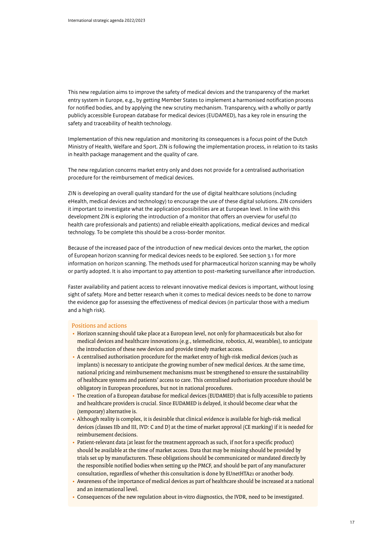This new regulation aims to improve the safety of medical devices and the transparency of the market entry system in Europe, e.g., by getting Member States to implement a harmonised notification process for notified bodies, and by applying the new scrutiny mechanism. Transparency, with a wholly or partly publicly accessible European database for medical devices (EUDAMED), has a key role in ensuring the safety and traceability of health technology.

Implementation of this new regulation and monitoring its consequences is a focus point of the Dutch Ministry of Health, Welfare and Sport. ZIN is following the implementation process, in relation to its tasks in health package management and the quality of care.

The new regulation concerns market entry only and does not provide for a centralised authorisation procedure for the reimbursement of medical devices.

ZIN is developing an overall quality standard for the use of digital healthcare solutions (including eHealth, medical devices and technology) to encourage the use of these digital solutions. ZIN considers it important to investigate what the application possibilities are at European level. In line with this development ZIN is exploring the introduction of a monitor that offers an overview for useful (to health care professionals and patients) and reliable eHealth applications, medical devices and medical technology. To be complete this should be a cross-border monitor.

Because of the increased pace of the introduction of new medical devices onto the market, the option of European horizon scanning for medical devices needs to be explored. See section 3.1 for more information on horizon scanning. The methods used for pharmaceutical horizon scanning may be wholly or partly adopted. It is also important to pay attention to post-marketing surveillance after introduction.

Faster availability and patient access to relevant innovative medical devices is important, without losing sight of safety. More and better research when it comes to medical devices needs to be done to narrow the evidence gap for assessing the effectiveness of medical devices (in particular those with a medium and a high risk).

- Horizon scanning should take place at a European level, not only for pharmaceuticals but also for medical devices and healthcare innovations (e.g., telemedicine, robotics, AI, wearables), to anticipate the introduction of these new devices and provide timely market access.
- A centralised authorisation procedure for the market entry of high-risk medical devices (such as implants) is necessary to anticipate the growing number of new medical devices. At the same time, national pricing and reimbursement mechanisms must be strengthened to ensure the sustainability of healthcare systems and patients' access to care. This centralised authorisation procedure should be obligatory in European procedures, but not in national procedures.
- The creation of a European database for medical devices (EUDAMED) that is fully accessible to patients and healthcare providers is crucial. Since EUDAMED is delayed, it should become clear what the (temporary) alternative is.
- Although reality is complex, it is desirable that clinical evidence is available for high-risk medical devices (classes IIb and III, IVD: C and D) at the time of market approval (CE marking) if it is needed for reimbursement decisions.
- Patient-relevant data (at least for the treatment approach as such, if not for a specific product) should be available at the time of market access. Data that may be missing should be provided by trials set up by manufacturers. These obligations should be communicated or mandated directly by the responsible notified bodies when setting up the PMCF, and should be part of any manufacturer consultation, regardless of whether this consultation is done by EUnetHTA21 or another body.
- Awareness of the importance of medical devices as part of healthcare should be increased at a national and an international level.
- Consequences of the new regulation about in-vitro diagnostics, the IVDR, need to be investigated.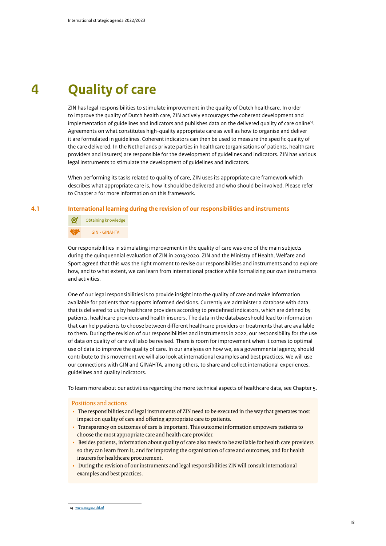## **4 Quality of care**

ZIN has legal responsibilities to stimulate improvement in the quality of Dutch healthcare. In order to improve the quality of Dutch health care, ZIN actively encourages the coherent development and implementation of guidelines and indicators and publishes data on the delivered quality of care online14. Agreements on what constitutes high-quality appropriate care as well as how to organise and deliver it are formulated in guidelines. Coherent indicators can then be used to measure the specific quality of the care delivered. In the Netherlands private parties in healthcare (organisations of patients, healthcare providers and insurers) are responsible for the development of guidelines and indicators. ZIN has various legal instruments to stimulate the development of guidelines and indicators.

When performing its tasks related to quality of care, ZIN uses its appropriate care framework which describes what appropriate care is, how it should be delivered and who should be involved. Please refer to Chapter 2 for more information on this framework.

#### **4.1 International learning during the revision of our responsibilities and instruments**

 Obtaining knowledge GIN - GINAHTA

Our responsibilities in stimulating improvement in the quality of care was one of the main subjects during the quinquennial evaluation of ZIN in 2019/2020. ZIN and the Ministry of Health, Welfare and Sport agreed that this was the right moment to revise our responsibilities and instruments and to explore how, and to what extent, we can learn from international practice while formalizing our own instruments and activities.

One of our legal responsibilities is to provide insight into the quality of care and make information available for patients that supports informed decisions. Currently we administer a database with data that is delivered to us by healthcare providers according to predefined indicators, which are defined by patients, healthcare providers and health insurers. The data in the database should lead to information that can help patients to choose between different healthcare providers or treatments that are available to them. During the revision of our responsibilities and instruments in 2022, our responsibility for the use of data on quality of care will also be revised. There is room for improvement when it comes to optimal use of data to improve the quality of care. In our analyses on how we, as a governmental agency, should contribute to this movement we will also look at international examples and best practices. We will use our connections with GIN and GINAHTA, among others, to share and collect international experiences, guidelines and quality indicators.

To learn more about our activities regarding the more technical aspects of healthcare data, see Chapter 5.

- The responsibilities and legal instruments of ZIN need to be executed in the way that generates most impact on quality of care and offering appropriate care to patients.
- Transparency on outcomes of care is important. This outcome information empowers patients to choose the most appropriate care and health care provider.
- Besides patients, information about quality of care also needs to be available for health care providers so they can learn from it, and for improving the organisation of care and outcomes, and for health insurers for healthcare procurement.
- During the revision of our instruments and legal responsibilities ZIN will consult international examples and best practices.

*<sup>14</sup> [www.zorginzicht.nl](http://www.zorginzicht.nl)*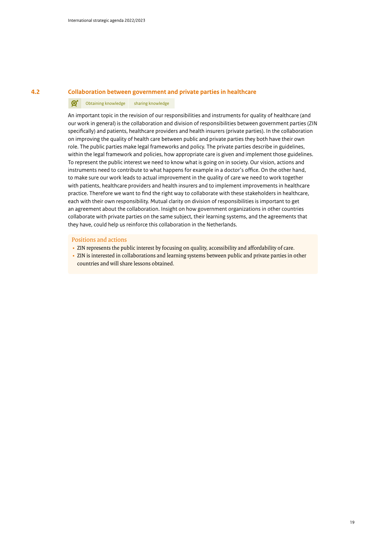#### **4.2 Collaboration between government and private parties in healthcare**

#### ග් Obtaining knowledge sharing knowledge

An important topic in the revision of our responsibilities and instruments for quality of healthcare (and our work in general) is the collaboration and division of responsibilities between government parties (ZIN specifically) and patients, healthcare providers and health insurers (private parties). In the collaboration on improving the quality of health care between public and private parties they both have their own role. The public parties make legal frameworks and policy. The private parties describe in guidelines, within the legal framework and policies, how appropriate care is given and implement those guidelines. To represent the public interest we need to know what is going on in society. Our vision, actions and instruments need to contribute to what happens for example in a doctor's office. On the other hand, to make sure our work leads to actual improvement in the quality of care we need to work together with patients, healthcare providers and health insurers and to implement improvements in healthcare practice. Therefore we want to find the right way to collaborate with these stakeholders in healthcare, each with their own responsibility. Mutual clarity on division of responsibilities is important to get an agreement about the collaboration. Insight on how government organizations in other countries collaborate with private parties on the same subject, their learning systems, and the agreements that they have, could help us reinforce this collaboration in the Netherlands.

- ZIN represents the public interest by focusing on quality, accessibility and affordability of care.
- ZIN is interested in collaborations and learning systems between public and private parties in other countries and will share lessons obtained.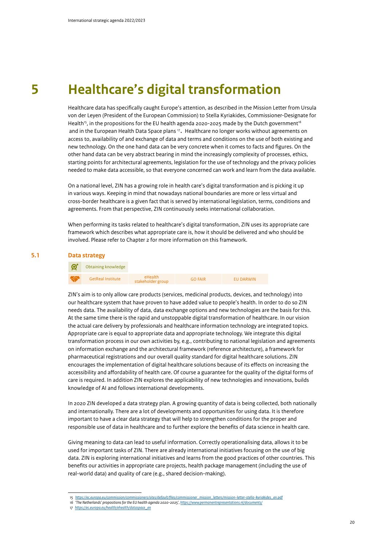### **5 Healthcare's digital transformation**

Healthcare data has specifically caught Europe's attention, as described in the Mission Letter from Ursula von der Leyen (President of the European Commission) to Stella Kyriakides, Commissioner-Designate for Health<sup>15</sup>, in the propositions for the EU health agenda 2020-2025 made by the Dutch government<sup>16</sup> and in the European Health Data Space plans <sup>17</sup>. Healthcare no longer works without agreements on access to, availability of and exchange of data and terms and conditions on the use of both existing and new technology. On the one hand data can be very concrete when it comes to facts and figures. On the other hand data can be very abstract bearing in mind the increasingly complexity of processes, ethics, starting points for architectural agreements, legislation for the use of technology and the privacy policies needed to make data accessible, so that everyone concerned can work and learn from the data available.

On a national level, ZIN has a growing role in health care's digital transformation and is picking it up in various ways. Keeping in mind that nowadays national boundaries are more or less virtual and cross-border healthcare is a given fact that is served by international legislation, terms, conditions and agreements. From that perspective, ZIN continuously seeks international collaboration.

When performing its tasks related to healthcare's digital transformation, ZIN uses its appropriate care framework which describes what appropriate care is, how it should be delivered and who should be involved. Please refer to Chapter 2 for more information on this framework.

#### **5.1 Data strategy**



ZIN's aim is to only allow care products (services, medicinal products, devices, and technology) into our healthcare system that have proven to have added value to people's health. In order to do so ZIN needs data. The availability of data, data exchange options and new technologies are the basis for this. At the same time there is the rapid and unstoppable digital transformation of healthcare. In our vision the actual care delivery by professionals and healthcare information technology are integrated topics. Appropriate care is equal to appropriate data and appropriate technology. We integrate this digital transformation process in our own activities by, e.g., contributing to national legislation and agreements on information exchange and the architectural framework (reference architecture), a framework for pharmaceutical registrations and our overall quality standard for digital healthcare solutions. ZIN encourages the implementation of digital healthcare solutions because of its effects on increasing the accessibility and affordability of health care. Of course a guarantee for the quality of the digital forms of care is required. In addition ZIN explores the applicability of new technologies and innovations, builds knowledge of AI and follows international developments.

In 2020 ZIN developed a data strategy plan. A growing quantity of data is being collected, both nationally and internationally. There are a lot of developments and opportunities for using data. It is therefore important to have a clear data strategy that will help to strengthen conditions for the proper and responsible use of data in healthcare and to further explore the benefits of data science in health care.

Giving meaning to data can lead to useful information. Correctly operationalising data, allows it to be used for important tasks of ZIN. There are already international initiatives focusing on the use of big data. ZIN is exploring international initiatives and learns from the good practices of other countries. This benefits our activities in appropriate care projects, health package management (including the use of real-world data) and quality of care (e.g., shared decision-making).

*<sup>15</sup> [https://ec.europa.eu/commission/commissioners/sites/default/files/commissioner\\_mission\\_letters/mission-letter-stella-kyriakides\\_en.pdf](https://ec.europa.eu/commission/commissioners/sites/default/files/commissioner_mission_letters/mission-letter-stella-kyriakides_en.pdf)*

*<sup>16</sup> 'The Netherlands' propositions for the EU health agenda 2020-2025',<https://www.permanentrepresentations.nl/documents/>*

*<sup>17</sup> [https://ec.europa.eu/health/ehealth/dataspace\\_en](https://ec.europa.eu/health/ehealth/dataspace_en)*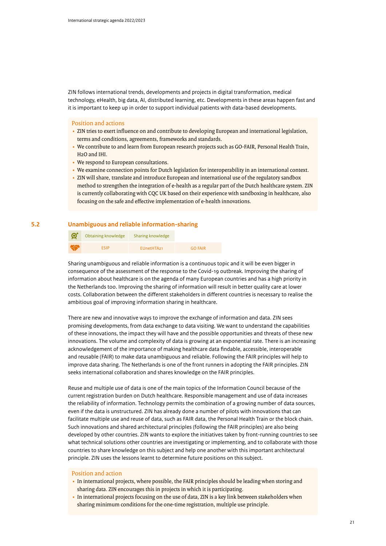ZIN follows international trends, developments and projects in digital transformation, medical technology, eHealth, big data, AI, distributed learning, etc. Developments in these areas happen fast and it is important to keep up in order to support individual patients with data-based developments.

#### Position and actions

- ZIN tries to exert influence on and contribute to developing European and international legislation, terms and conditions, agreements, frameworks and standards.
- We contribute to and learn from European research projects such as GO-FAIR, Personal Health Train, H2O and IHI.
- We respond to European consultations.
- We examine connection points for Dutch legislation for interoperability in an international context.
- ZIN will share, translate and introduce European and international use of the regulatory sandbox method to strengthen the integration of e-health as a regular part of the Dutch healthcare system. ZIN is currently collaborating with CQC UK based on their experience with sandboxing in healthcare, also focusing on the safe and effective implementation of e-health innovations.

#### **5.2 Unambiguous and reliable information-sharing**

| Ø         | Obtaining knowledge | Sharing knowledge      |                |
|-----------|---------------------|------------------------|----------------|
| <b>AS</b> | <b>FSIP</b>         | EUnetHTA <sub>21</sub> | <b>GO FAIR</b> |

Sharing unambiguous and reliable information is a continuous topic and it will be even bigger in consequence of the assessment of the response to the Covid-19 outbreak. Improving the sharing of information about healthcare is on the agenda of many European countries and has a high priority in the Netherlands too. Improving the sharing of information will result in better quality care at lower costs. Collaboration between the different stakeholders in different countries is necessary to realise the ambitious goal of improving information sharing in healthcare.

There are new and innovative ways to improve the exchange of information and data. ZIN sees promising developments, from data exchange to data visiting. We want to understand the capabilities of these innovations, the impact they will have and the possible opportunities and threats of these new innovations. The volume and complexity of data is growing at an exponential rate. There is an increasing acknowledgement of the importance of making healthcare data findable, accessible, interoperable and reusable (FAIR) to make data unambiguous and reliable. Following the FAIR principles will help to improve data sharing. The Netherlands is one of the front runners in adopting the FAIR principles. ZIN seeks international collaboration and shares knowledge on the FAIR principles.

Reuse and multiple use of data is one of the main topics of the Information Council because of the current registration burden on Dutch healthcare. Responsible management and use of data increases the reliability of information. Technology permits the combination of a growing number of data sources, even if the data is unstructured. ZIN has already done a number of pilots with innovations that can facilitate multiple use and reuse of data, such as FAIR data, the Personal Health Train or the block chain. Such innovations and shared architectural principles (following the FAIR principles) are also being developed by other countries. ZIN wants to explore the initiatives taken by front-running countries to see what technical solutions other countries are investigating or implementing, and to collaborate with those countries to share knowledge on this subject and help one another with this important architectural principle. ZIN uses the lessons learnt to determine future positions on this subject.

- In international projects, where possible, the FAIR principles should be leading when storing and sharing data. ZIN encourages this in projects in which it is participating.
- In international projects focusing on the use of data, ZIN is a key link between stakeholders when sharing minimum conditions for the one-time registration, multiple use principle.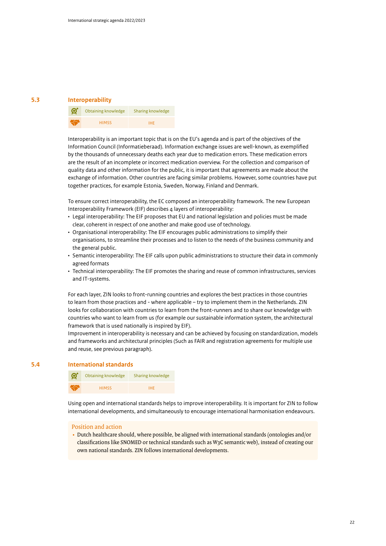#### **5.3 Interoperability**



Interoperability is an important topic that is on the EU's agenda and is part of the objectives of the Information Council (Informatieberaad). Information exchange issues are well-known, as exemplified by the thousands of unnecessary deaths each year due to medication errors. These medication errors are the result of an incomplete or incorrect medication overview. For the collection and comparison of quality data and other information for the public, it is important that agreements are made about the exchange of information. Other countries are facing similar problems. However, some countries have put together practices, for example Estonia, Sweden, Norway, Finland and Denmark.

To ensure correct interoperability, the EC composed an interoperability framework. The new European Interoperability Framework (EIF) describes 4 layers of interoperability:

- Legal interoperability: The EIF proposes that EU and national legislation and policies must be made clear, coherent in respect of one another and make good use of technology.
- Organisational interoperability: The EIF encourages public administrations to simplify their organisations, to streamline their processes and to listen to the needs of the business community and the general public.
- Semantic interoperability: The EIF calls upon public administrations to structure their data in commonly agreed formats
- Technical interoperability: The EIF promotes the sharing and reuse of common infrastructures, services and IT-systems.

For each layer, ZIN looks to front-running countries and explores the best practices in those countries to learn from those practices and - where applicable – try to implement them in the Netherlands. ZIN looks for collaboration with countries to learn from the front-runners and to share our knowledge with countries who want to learn from us (for example our sustainable information system, the architectural framework that is used nationally is inspired by EIF).

Improvement in interoperability is necessary and can be achieved by focusing on standardization, models and frameworks and architectural principles (Such as FAIR and registration agreements for multiple use and reuse, see previous paragraph).

#### **5.4 International standards**



Using open and international standards helps to improve interoperability. It is important for ZIN to follow international developments, and simultaneously to encourage international harmonisation endeavours.

#### Position and action

• Dutch healthcare should, where possible, be aligned with international standards (ontologies and/or classifications like SNOMED or technical standards such as W3C semantic web), instead of creating our own national standards. ZIN follows international developments.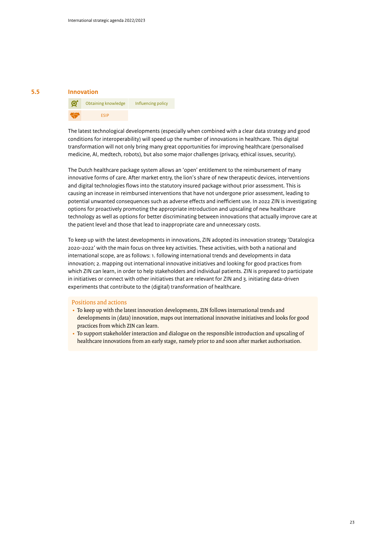#### **5.5 Innovation**



The latest technological developments (especially when combined with a clear data strategy and good conditions for interoperability) will speed up the number of innovations in healthcare. This digital transformation will not only bring many great opportunities for improving healthcare (personalised medicine, AI, medtech, robots), but also some major challenges (privacy, ethical issues, security).

The Dutch healthcare package system allows an 'open' entitlement to the reimbursement of many innovative forms of care. After market entry, the lion's share of new therapeutic devices, interventions and digital technologies flows into the statutory insured package without prior assessment. This is causing an increase in reimbursed interventions that have not undergone prior assessment, leading to potential unwanted consequences such as adverse effects and inefficient use. In 2022 ZIN is investigating options for proactively promoting the appropriate introduction and upscaling of new healthcare technology as well as options for better discriminating between innovations that actually improve care at the patient level and those that lead to inappropriate care and unnecessary costs.

To keep up with the latest developments in innovations, ZIN adopted its innovation strategy 'Datalogica 2020-2022' with the main focus on three key activities. These activities, with both a national and international scope, are as follows: 1. following international trends and developments in data innovation; 2. mapping out international innovative initiatives and looking for good practices from which ZIN can learn, in order to help stakeholders and individual patients. ZIN is prepared to participate in initiatives or connect with other initiatives that are relevant for ZIN and 3. initiating data-driven experiments that contribute to the (digital) transformation of healthcare.

- To keep up with the latest innovation developments, ZIN follows international trends and developments in (data) innovation, maps out international innovative initiatives and looks for good practices from which ZIN can learn.
- To support stakeholder interaction and dialogue on the responsible introduction and upscaling of healthcare innovations from an early stage, namely prior to and soon after market authorisation.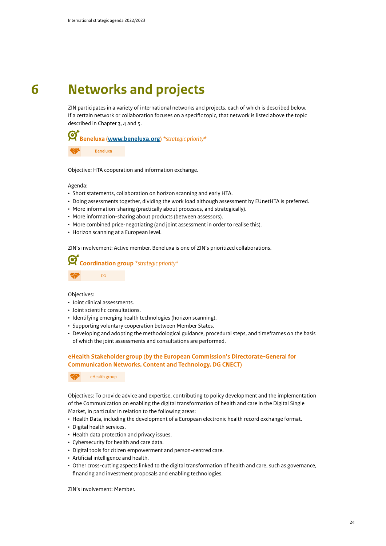### **6 Networks and projects**

ZIN participates in a variety of international networks and projects, each of which is described below. If a certain network or collaboration focuses on a specific topic, that network is listed above the topic described in Chapter 3, 4 and 5.



Beneluxa

Objective: HTA cooperation and information exchange.

Agenda:

- Short statements, collaboration on horizon scanning and early HTA.
- Doing assessments together, dividing the work load although assessment by EUnetHTA is preferred.
- More information-sharing (practically about processes, and strategically).
- More information-sharing about products (between assessors).
- More combined price-negotiating (and joint assessment in order to realise this).
- Horizon scanning at a European level.

ZIN's involvement: Active member. Beneluxa is one of ZIN's prioritized collaborations.



Objectives:

- Joint clinical assessments.
- Joint scientific consultations.
- Identifying emerging health technologies (horizon scanning).
- Supporting voluntary cooperation between Member States.
- Developing and adopting the methodological guidance, procedural steps, and timeframes on the basis of which the joint assessments and consultations are performed.

#### **eHealth Stakeholder group (by the European Commission's Directorate-General for Communication Networks, Content and Technology, DG CNECT)**

eHealth group

Objectives: To provide advice and expertise, contributing to policy development and the implementation of the Communication on enabling the digital transformation of health and care in the Digital Single Market, in particular in relation to the following areas:

- Health Data, including the development of a European electronic health record exchange format.
- Digital health services.
- Health data protection and privacy issues.
- Cybersecurity for health and care data.
- Digital tools for citizen empowerment and person-centred care.
- Artificial intelligence and health.
- Other cross-cutting aspects linked to the digital transformation of health and care, such as governance, financing and investment proposals and enabling technologies.

ZIN's involvement: Member.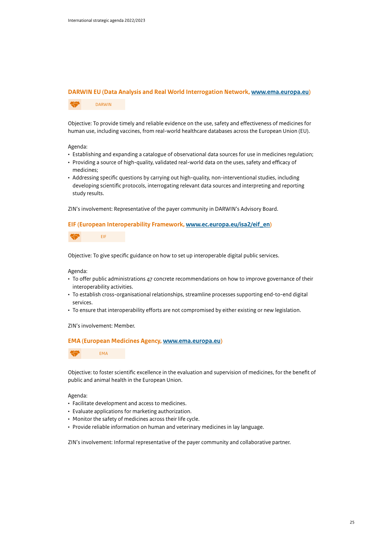#### **DARWIN EU (Data Analysis and Real World Interrogation Network, [www.ema.europa.eu](http://www.ema.europa.eu))**

DARWIN

Objective: To provide timely and reliable evidence on the use, safety and effectiveness of medicines for human use, including vaccines, from real-world healthcare databases across the European Union (EU).

#### Agenda:

- Establishing and expanding a catalogue of observational data sources for use in medicines regulation;
- Providing a source of high-quality, validated real-world data on the uses, safety and efficacy of medicines;
- Addressing specific questions by carrying out high-quality, non-interventional studies, including developing scientific protocols, interrogating relevant data sources and interpreting and reporting study results.

ZIN's involvement: Representative of the payer community in DARWIN's Advisory Board.

#### **EIF (European Interoperability Framework, [www.ec.europa.eu/isa2/eif\\_en](http://www.ec.europa.eu/isa2/eif_en))**

EIF

Objective: To give specific guidance on how to set up interoperable digital public services.

Agenda:

- To offer public administrations 47 concrete recommendations on how to improve governance of their interoperability activities.
- To establish cross-organisational relationships, streamline processes supporting end-to-end digital services.
- To ensure that interoperability efforts are not compromised by either existing or new legislation.

ZIN's involvement: Member.

#### **EMA (European Medicines Agency, [www.ema.europa.eu](http://www.ema.europa.eu))**



Objective: to foster scientific excellence in the evaluation and supervision of medicines, for the benefit of public and animal health in the European Union.

#### Agenda:

- Facilitate development and access to medicines.
- Evaluate applications for marketing authorization.
- Monitor the safety of medicines across their life cycle.
- Provide reliable information on human and veterinary medicines in lay language.

ZIN's involvement: Informal representative of the payer community and collaborative partner.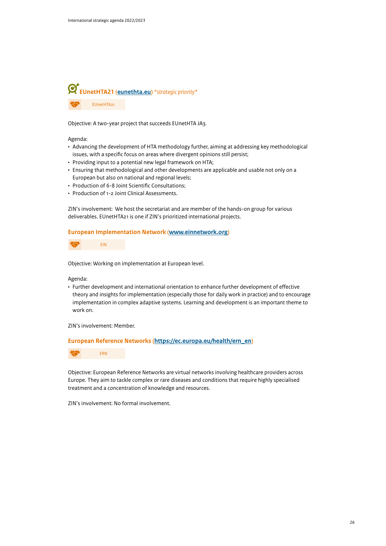

Objective: A two-year project that succeeds EUnetHTA JA3.

Agenda:

- Advancing the development of HTA methodology further, aiming at addressing key methodological issues, with a specific focus on areas where divergent opinions still persist;
- Providing input to a potential new legal framework on HTA;
- Ensuring that methodological and other developments are applicable and usable not only on a European but also on national and regional levels;
- Production of 6-8 Joint Scientific Consultations;
- Production of 1-2 Joint Clinical Assessments.

ZIN's involvement: We host the secretariat and are member of the hands-on group for various deliverables. EUnetHTA21 is one if ZIN's prioritized international projects.

#### **European Implementation Network ([www.einnetwork.org](http://www.einnetwork.org/))**



Objective: Working on implementation at European level.

Agenda:

• Further development and international orientation to enhance further development of effective theory and insights for implementation (especially those for daily work in practice) and to encourage implementation in complex adaptive systems. Learning and development is an important theme to work on.

ZIN's involvement: Member.

**European Reference Networks [\(https://ec.europa.eu/health/ern\\_en\)](https://ec.europa.eu/health/ern_en)**



Objective: European Reference Networks are virtual networks involving healthcare providers across Europe. They aim to tackle complex or rare diseases and conditions that require highly specialised treatment and a concentration of knowledge and resources.

ZIN's involvement: No formal involvement.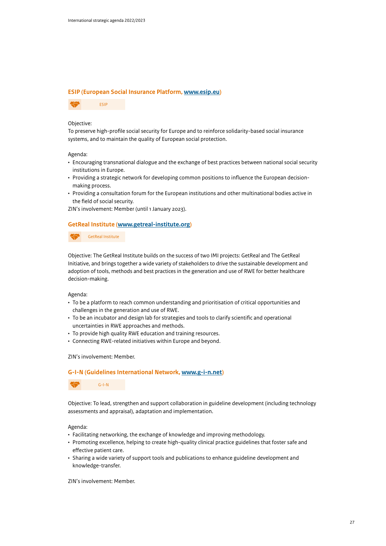#### **ESIP (European Social Insurance Platform, [www.esip.eu\)](http://www.esip.eu/)**



#### Objective:

To preserve high-profile social security for Europe and to reinforce solidarity-based social insurance systems, and to maintain the quality of European social protection.

#### Agenda:

- Encouraging transnational dialogue and the exchange of best practices between national social security institutions in Europe.
- Providing a strategic network for developing common positions to influence the European decisionmaking process.
- Providing a consultation forum for the European institutions and other multinational bodies active in the field of social security.

ZIN's involvement: Member (until 1 January 2023).

#### **GetReal Institute ([www.getreal-institute.org\)](http://www.getreal-institute.org)**

GetReal Institute

Objective: The GetReal Institute builds on the success of two IMI projects: GetReal and The GetReal Initiative, and brings together a wide variety of stakeholders to drive the sustainable development and adoption of tools, methods and best practices in the generation and use of RWE for better healthcare decision-making.

Agenda:

- To be a platform to reach common understanding and prioritisation of critical opportunities and challenges in the generation and use of RWE.
- To be an incubator and design lab for strategies and tools to clarify scientific and operational uncertainties in RWE approaches and methods.
- To provide high quality RWE education and training resources.
- Connecting RWE-related initiatives within Europe and beyond.

#### ZIN's involvement: Member.

#### **G-I-N (Guidelines International Network, [www.g-i-n.net](http://www.g-i-n.net/))**

G-I-N

Objective: To lead, strengthen and support collaboration in guideline development (including technology assessments and appraisal), adaptation and implementation.

Agenda:

- Facilitating networking, the exchange of knowledge and improving methodology.
- Promoting excellence, helping to create high-quality clinical practice guidelines that foster safe and effective patient care.
- Sharing a wide variety of support tools and publications to enhance guideline development and knowledge-transfer.

ZIN's involvement: Member.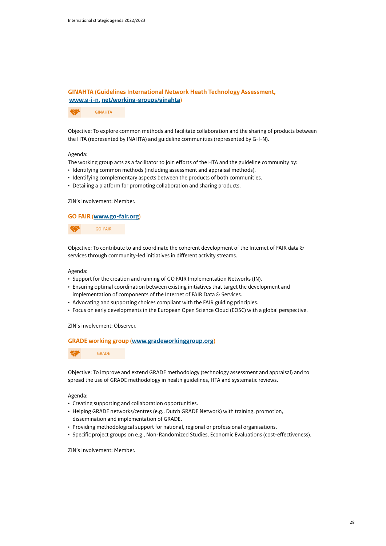### **GINAHTA (Guidelines International Network Heath Technology Assessment, [www.g-i-n.](http://www.g-i-n.net/working-groups/ginahta) [net/working-groups/ginahta](http://www.g-i-n.net/working-groups/ginahta))**

GINAHTA

Objective: To explore common methods and facilitate collaboration and the sharing of products between the HTA (represented by INAHTA) and guideline communities (represented by G-I-N).

#### Agenda:

The working group acts as a facilitator to join efforts of the HTA and the guideline community by:

- Identifying common methods (including assessment and appraisal methods).
- Identifying complementary aspects between the products of both communities.
- Detailing a platform for promoting collaboration and sharing products.

ZIN's involvement: Member.

#### **GO FAIR ([www.go-fair.org](http://www.go-fair.org))**

GO-FAIR

Objective: To contribute to and coordinate the coherent development of the Internet of FAIR data & services through community-led initiatives in different activity streams.

#### Agenda:

- Support for the creation and running of GO FAIR Implementation Networks (IN).
- Ensuring optimal coordination between existing initiatives that target the development and implementation of components of the Internet of FAIR Data & Services.
- Advocating and supporting choices compliant with the FAIR guiding principles.
- Focus on early developments in the European Open Science Cloud (EOSC) with a global perspective.

#### ZIN's involvement: Observer.

#### **GRADE working group ([www.gradeworkinggroup.org](http://www.gradeworkinggroup.org/))**



Objective: To improve and extend GRADE methodology (technology assessment and appraisal) and to spread the use of GRADE methodology in health guidelines, HTA and systematic reviews.

#### Agenda:

- Creating supporting and collaboration opportunities.
- Helping GRADE networks/centres (e.g., Dutch GRADE Network) with training, promotion, dissemination and implementation of GRADE.
- Providing methodological support for national, regional or professional organisations.
- Specific project groups on e.g., Non-Randomized Studies, Economic Evaluations (cost-effectiveness).

ZIN's involvement: Member.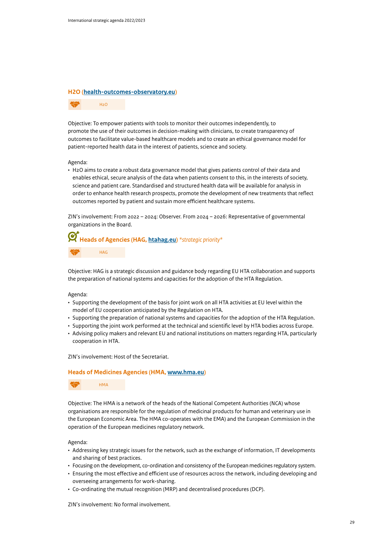H2O

#### **H2O ([health-outcomes-observatory.eu](http://health-outcomes-observatory.eu))**

Objective: To empower patients with tools to monitor their outcomes independently, to promote the use of their outcomes in decision-making with clinicians, to create transparency of outcomes to facilitate value-based healthcare models and to create an ethical governance model for patient-reported health data in the interest of patients, science and society.

Agenda:

• H2O aims to create a robust data governance model that gives patients control of their data and enables ethical, secure analysis of the data when patients consent to this, in the interests of society, science and patient care. Standardised and structured health data will be available for analysis in order to enhance health research prospects, promote the development of new treatments that reflect outcomes reported by patient and sustain more efficient healthcare systems.

ZIN's involvement: From 2022 – 2024: Observer. From 2024 – 2026: Representative of governmental organizations in the Board.

### **Heads of Agencies (HAG, [htahag.eu\)](http://htahag.eu)** *\*strategic priority\** HAG

Objective: HAG is a strategic discussion and guidance body regarding EU HTA collaboration and supports the preparation of national systems and capacities for the adoption of the HTA Regulation.

#### Agenda:

- Supporting the development of the basis for joint work on all HTA activities at EU level within the model of EU cooperation anticipated by the Regulation on HTA.
- Supporting the preparation of national systems and capacities for the adoption of the HTA Regulation.
- Supporting the joint work performed at the technical and scientific level by HTA bodies across Europe.
- Advising policy makers and relevant EU and national institutions on matters regarding HTA, particularly cooperation in HTA.

#### ZIN's involvement: Host of the Secretariat.

#### **Heads of Medicines Agencies (HMA, [www.hma.eu\)](http://www.hma.eu)**



Objective: The HMA is a network of the heads of the National Competent Authorities (NCA) whose organisations are responsible for the regulation of medicinal products for human and veterinary use in the European Economic Area. The HMA co-operates with the EMA) and the European Commission in the operation of the European medicines regulatory network.

#### Agenda:

- Addressing key strategic issues for the network, such as the exchange of information, IT developments and sharing of best practices.
- Focusing on the development, co-ordination and consistency of the European medicines regulatory system.
- Ensuring the most effective and efficient use of resources across the network, including developing and overseeing arrangements for work-sharing.
- Co-ordinating the mutual recognition (MRP) and decentralised procedures (DCP).

ZIN's involvement: No formal involvement.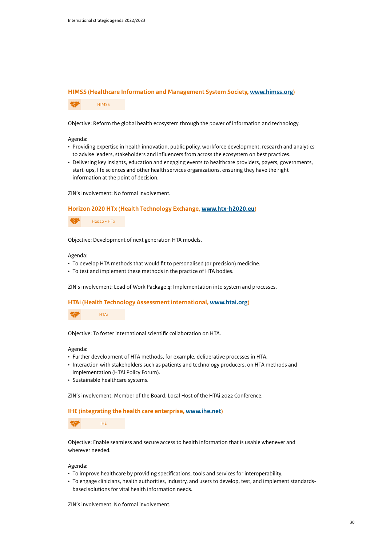#### **HIMSS (Healthcare Information and Management System Society, [www.himss.org](http://www.himss.org))**

HIMSS

Objective: Reform the global health ecosystem through the power of information and technology.

Agenda:

- Providing expertise in health innovation, public policy, workforce development, research and analytics to advise leaders, stakeholders and influencers from across the ecosystem on best practices.
- Delivering key insights, education and engaging events to healthcare providers, payers, governments, start-ups, life sciences and other health services organizations, ensuring they have the right information at the point of decision.

ZIN's involvement: No formal involvement.

#### **Horizon 2020 HTx (Health Technology Exchange, [www.htx-h2020.eu\)](http://www.htx-h2020.eu)**

H2020 - HTx

Objective: Development of next generation HTA models.

Agenda:

- To develop HTA methods that would fit to personalised (or precision) medicine.
- To test and implement these methods in the practice of HTA bodies.

ZIN's involvement: Lead of Work Package 4: Implementation into system and processes.

#### **HTAi (Health Technology Assessment international, [www.htai.org\)](http://www.htai.org/)**

HTAi

Objective: To foster international scientific collaboration on HTA.

Agenda:

- Further development of HTA methods, for example, deliberative processes in HTA.
- Interaction with stakeholders such as patients and technology producers, on HTA methods and implementation (HTAi Policy Forum).
- Sustainable healthcare systems.

ZIN's involvement: Member of the Board. Local Host of the HTAi 2022 Conference.

#### **IHE (integrating the health care enterprise, [www.ihe.net\)](http://www.ihe.net)**

IHE

Objective: Enable seamless and secure access to health information that is usable whenever and wherever needed.

Agenda:

- To improve healthcare by providing specifications, tools and services for interoperability.
- To engage clinicians, health authorities, industry, and users to develop, test, and implement standardsbased solutions for vital health information needs.

ZIN's involvement: No formal involvement.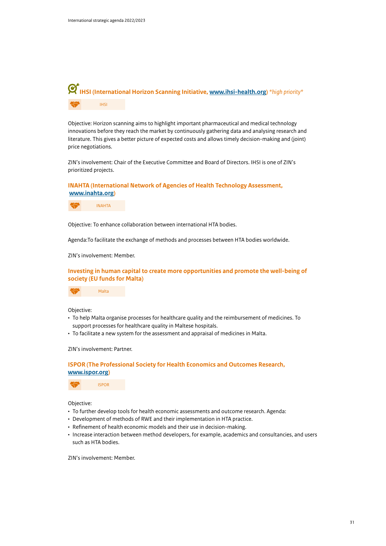

Objective: Horizon scanning aims to highlight important pharmaceutical and medical technology innovations before they reach the market by continuously gathering data and analysing research and literature. This gives a better picture of expected costs and allows timely decision-making and (joint) price negotiations.

ZIN's involvement: Chair of the Executive Committee and Board of Directors. IHSI is one of ZIN's prioritized projects.

**INAHTA (International Network of Agencies of Health Technology Assessment, [www.inahta.org](http://www.inahta.org/))**



Objective: To enhance collaboration between international HTA bodies.

Agenda:To facilitate the exchange of methods and processes between HTA bodies worldwide.

ZIN's involvement: Member.

**Investing in human capital to create more opportunities and promote the well-being of society (EU funds for Malta)**



Objective:

- To help Malta organise processes for healthcare quality and the reimbursement of medicines. To support processes for healthcare quality in Maltese hospitals.
- To facilitate a new system for the assessment and appraisal of medicines in Malta.

ZIN's involvement: Partner.

**ISPOR (The Professional Society for Health Economics and Outcomes Research, [www.ispor.org\)](http://www.ispor.org/)**

ISPOR

Objective:

- To further develop tools for health economic assessments and outcome research. Agenda:
- Development of methods of RWE and their implementation in HTA practice.
- Refinement of health economic models and their use in decision-making.
- Increase interaction between method developers, for example, academics and consultancies, and users such as HTA bodies.

ZIN's involvement: Member.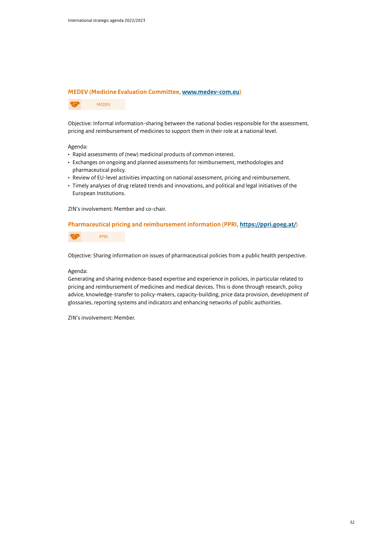#### **MEDEV (Medicine Evaluation Committee, [www.medev-com.eu](http://www.medev-com.eu/))**

MEDEV

Objective: Informal information-sharing between the national bodies responsible for the assessment, pricing and reimbursement of medicines to support them in their role at a national level.

#### Agenda:

- Rapid assessments of (new) medicinal products of common interest.
- Exchanges on ongoing and planned assessments for reimbursement, methodologies and pharmaceutical policy.
- Review of EU-level activities impacting on national assessment, pricing and reimbursement.
- Timely analyses of drug related trends and innovations, and political and legal initiatives of the European Institutions.

ZIN's involvement: Member and co-chair.

#### **Pharmaceutical pricing and reimbursement information (PPRI, [https://ppri.goeg.at/\)](https://ppri.goeg.at/)**

PPRI

Objective: Sharing information on issues of pharmaceutical policies from a public health perspective.

#### Agenda:

Generating and sharing evidence-based expertise and experience in policies, in particular related to pricing and reimbursement of medicines and medical devices. This is done through research, policy advice, knowledge-transfer to policy-makers, capacity-building, price data provision, development of glossaries, reporting systems and indicators and enhancing networks of public authorities.

ZIN's involvement: Member.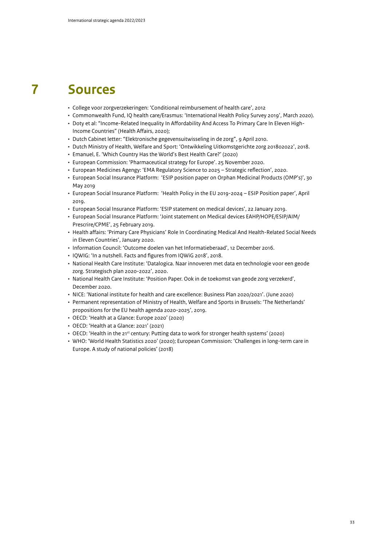### **7 Sources**

- College voor zorgverzekeringen: 'Conditional reimbursement of health care', 2012
- Commonwealth Fund, IQ health care/Erasmus: 'International Health Policy Survey 2019', March 2020).
- Doty et al: "Income-Related Inequality In Affordability And Access To Primary Care In Eleven High-Income Countries" (Health Affairs, 2020);
- Dutch Cabinet letter: "Elektronische gegevensuitwisseling in de zorg", 9 April 2010.
- Dutch Ministry of Health, Welfare and Sport: 'Ontwikkeling Uitkomstgerichte zorg 201802022', 2018.
- Emanuel, E. 'Which Country Has the World's Best Health Care?' (2020)
- European Commission: 'Pharmaceutical strategy for Europe'. 25 November 2020.
- European Medicines Agengy: 'EMA Regulatory Science to 2025 Strategic reflection', 2020.
- European Social Insurance Platform: 'ESIP position paper on Orphan Medicinal Products (OMP's)', 30 May 2019
- European Social Insurance Platform: 'Health Policy in the EU 2019-2024 ESIP Position paper', April 2019.
- European Social Insurance Platform: 'ESIP statement on medical devices', 22 January 2019.
- European Social Insurance Platform: 'Joint statement on Medical devices EAHP/HOPE/ESIP/AIM/ Prescrire/CPME', 25 February 2019.
- Health affairs: 'Primary Care Physicians' Role In Coordinating Medical And Health-Related Social Needs in Eleven Countries', January 2020.
- Information Council: 'Outcome doelen van het Informatieberaad', 12 December 2016.
- IQWIG: 'In a nutshell. Facts and figures from IQWiG 2018', 2018.
- National Health Care Institute: 'Datalogica. Naar innoveren met data en technologie voor een geode zorg. Strategisch plan 2020-2022', 2020.
- National Health Care Institute: 'Position Paper. Ook in de toekomst van geode zorg verzekerd', December 2020.
- NICE: 'National institute for health and care excellence: Business Plan 2020/2021'. (June 2020)
- Permanent representation of Ministry of Health, Welfare and Sports in Brussels: 'The Netherlands' propositions for the EU health agenda 2020-2025', 2019.
- OECD: 'Health at a Glance: Europe 2020' (2020)
- OECD: 'Health at a Glance: 2021' (2021)
- OECD: 'Health in the 21<sup>st</sup> century: Putting data to work for stronger health systems' (2020)
- WHO: 'World Health Statistics 2020' (2020); European Commission: 'Challenges in long-term care in Europe. A study of national policies' (2018)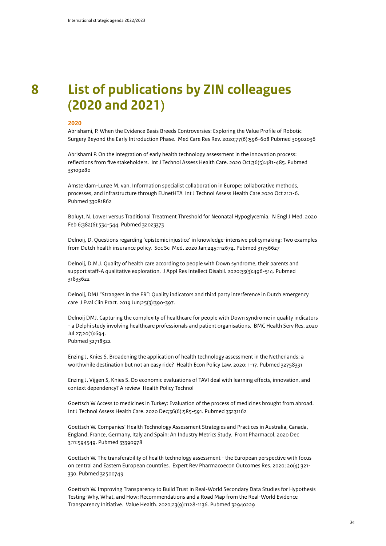## **8 List of publications by ZIN colleagues (2020 and 2021)**

#### **2020**

Abrishami, P. When the Evidence Basis Breeds Controversies: Exploring the Value Profile of Robotic Surgery Beyond the Early Introduction Phase. Med Care Res Rev. 2020;77(6):596-608 Pubmed 30902036

Abrishami P. On the integration of early health technology assessment in the innovation process: reflections from five stakeholders. Int J Technol Assess Health Care. 2020 Oct;36(5):481-485. Pubmed 33109280

Amsterdam-Lunze M, van. Information specialist collaboration in Europe: collaborative methods, processes, and infrastructure through EUnetHTA Int J Technol Assess Health Care 2020 Oct 21:1-6. Pubmed 33081862

Boluyt, N. Lower versus Traditional Treatment Threshold for Neonatal Hypoglycemia. N Engl J Med. 2020 Feb 6;382(6):534-544. Pubmed 32023373

Delnoij, D. Questions regarding 'epistemic injustice' in knowledge-intensive policymaking: Two examples from Dutch health insurance policy. Soc Sci Med. 2020 Jan;245:112674. Pubmed 31756627

Delnoij, D.M.J. Quality of health care according to people with Down syndrome, their parents and support staff-A qualitative exploration. J Appl Res Intellect Disabil. 2020;33(3):496-514. Pubmed 31833622

Delnoij, DMJ "Strangers in the ER": Quality indicators and third party interference in Dutch emergency care J Eval Clin Pract. 2019 Jun;25(3):390-397.

Delnoij DMJ. Capturing the complexity of healthcare for people with Down syndrome in quality indicators - a Delphi study involving healthcare professionals and patient organisations. BMC Health Serv Res. 2020 Jul 27;20(1):694.

Pubmed 32718322

Enzing J, Knies S. Broadening the application of health technology assessment in the Netherlands: a worthwhile destination but not an easy ride? Health Econ Policy Law. 2020; 1-17. Pubmed 32758331

Enzing J, Vijgen S, Knies S. Do economic evaluations of TAVI deal with learning effects, innovation, and context dependency? A review Health Policy Technol

Goettsch W Access to medicines in Turkey: Evaluation of the process of medicines brought from abroad. Int J Technol Assess Health Care. 2020 Dec;36(6):585-591. Pubmed 33231162

Goettsch W. Companies' Health Technology Assessment Strategies and Practices in Australia, Canada, England, France, Germany, Italy and Spain: An Industry Metrics Study. Front Pharmacol. 2020 Dec 3;11:594549. Pubmed 33390978

Goettsch W. The transferability of health technology assessment - the European perspective with focus on central and Eastern European countries. Expert Rev Pharmacoecon Outcomes Res. 2020; 20(4):321- 330. Pubmed 32500749

Goettsch W. Improving Transparency to Build Trust in Real-World Secondary Data Studies for Hypothesis Testing-Why, What, and How: Recommendations and a Road Map from the Real-World Evidence Transparency Initiative. Value Health. 2020;23(9):1128-1136. Pubmed 32940229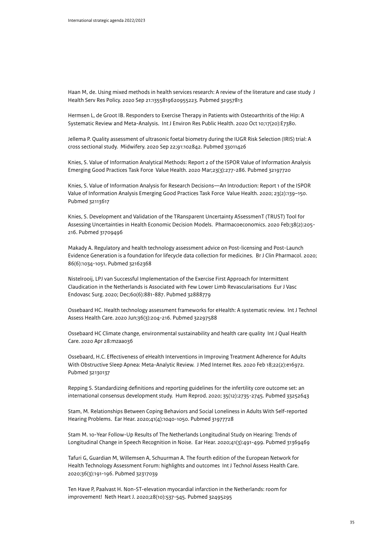Haan M, de. Using mixed methods in health services research: A review of the literature and case study J Health Serv Res Policy. 2020 Sep 21:1355819620955223. Pubmed 32957813

Hermsen L, de Groot IB. Responders to Exercise Therapy in Patients with Osteoarthritis of the Hip: A Systematic Review and Meta-Analysis. Int J Environ Res Public Health. 2020 Oct 10;17(20):E7380.

Jellema P. Quality assessment of ultrasonic foetal biometry during the IUGR Risk Selection (IRIS) trial: A cross sectional study. Midwifery. 2020 Sep 22;91:102842. Pubmed 33011426

Knies, S. Value of Information Analytical Methods: Report 2 of the ISPOR Value of Information Analysis Emerging Good Practices Task Force Value Health. 2020 Mar;23(3):277-286. Pubmed 32197720

Knies, S. Value of Information Analysis for Research Decisions—An Introduction: Report 1 of the ISPOR Value of Information Analysis Emerging Good Practices Task Force Value Health. 2020; 23(2):139–150. Pubmed 32113617

Knies, S. Development and Validation of the TRansparent Uncertainty ASsessmenT (TRUST) Tool for Assessing Uncertainties in Health Economic Decision Models. Pharmacoeconomics. 2020 Feb;38(2):205- 216. Pubmed 31709496

Makady A. Regulatory and health technology assessment advice on Post-licensing and Post-Launch Evidence Generation is a foundation for lifecycle data collection for medicines. Br J Clin Pharmacol. 2020; 86(6):1034-1051. Pubmed 32162368

Nistelrooij, LPJ van Successful Implementation of the Exercise First Approach for Intermittent Claudication in the Netherlands is Associated with Few Lower Limb Revascularisations Eur J Vasc Endovasc Surg. 2020; Dec;60(6):881-887. Pubmed 32888779

Ossebaard HC. Health technology assessment frameworks for eHealth: A systematic review. Int J Technol Assess Health Care. 2020 Jun;36(3):204-216. Pubmed 32297588

Ossebaard HC Climate change, environmental sustainability and health care quality Int J Qual Health Care. 2020 Apr 28:mzaa036

Ossebaard, H.C. Effectiveness of eHealth Interventions in Improving Treatment Adherence for Adults With Obstructive Sleep Apnea: Meta-Analytic Review. J Med Internet Res. 2020 Feb 18;22(2):e16972. Pubmed 32130137

Repping S. Standardizing definitions and reporting guidelines for the infertility core outcome set: an international consensus development study. Hum Reprod. 2020; 35(12):2735-2745. Pubmed 33252643

Stam, M. Relationships Between Coping Behaviors and Social Loneliness in Adults With Self-reported Hearing Problems. Ear Hear. 2020;41(4):1040-1050. Pubmed 31977728

Stam M. 10-Year Follow-Up Results of The Netherlands Longitudinal Study on Hearing: Trends of Longitudinal Change in Speech Recognition in Noise. Ear Hear. 2020;41(3):491-499. Pubmed 31369469

Tafuri G, Guardian M, Willemsen A, Schuurman A. The fourth edition of the European Network for Health Technology Assessment Forum: highlights and outcomes Int J Technol Assess Health Care. 2020;36(3):191-196. Pubmed 32317039

Ten Have P, Paalvast H. Non-ST-elevation myocardial infarction in the Netherlands: room for improvement! Neth Heart J. 2020;28(10):537-545. Pubmed 32495295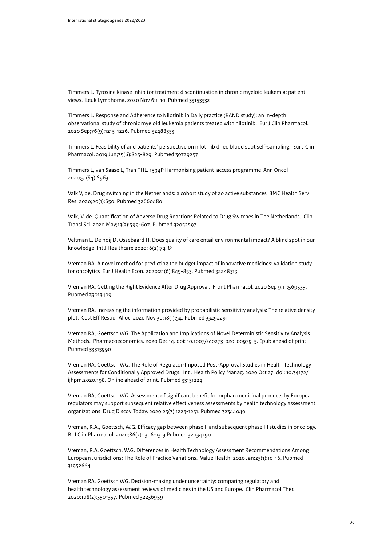Timmers L. Tyrosine kinase inhibitor treatment discontinuation in chronic myeloid leukemia: patient views. Leuk Lymphoma. 2020 Nov 6:1-10. Pubmed 33153332

Timmers L. Response and Adherence to Nilotinib in Daily practice (RAND study): an in-depth observational study of chronic myeloid leukemia patients treated with nilotinib. Eur J Clin Pharmacol. 2020 Sep;76(9):1213-1226. Pubmed 32488333

Timmers L. Feasibility of and patients' perspective on nilotinib dried blood spot self-sampling. Eur J Clin Pharmacol. 2019 Jun;75(6):825-829. Pubmed 30729257

Timmers L, van Saase L, Tran THL. 1594P Harmonising patient-access programme Ann Oncol 2020;31(S4):S963

Valk V, de. Drug switching in the Netherlands: a cohort study of 20 active substances BMC Health Serv Res. 2020;20(1):650. Pubmed 32660480

Valk, V. de. Quantification of Adverse Drug Reactions Related to Drug Switches in The Netherlands. Clin Transl Sci. 2020 May;13(3):599-607. Pubmed 32052597

Veltman L, Delnoij D, Ossebaard H. Does quality of care entail environmental impact? A blind spot in our knowledge Int J Healthcare 2020; 6(2):74-81

Vreman RA. A novel method for predicting the budget impact of innovative medicines: validation study for oncolytics Eur J Health Econ. 2020;21(6):845-853. Pubmed 32248313

Vreman RA. Getting the Right Evidence After Drug Approval. Front Pharmacol. 2020 Sep 9;11:569535. Pubmed 33013409

Vreman RA. Increasing the information provided by probabilistic sensitivity analysis: The relative density plot. Cost Eff Resour Alloc. 2020 Nov 30;18(1):54. Pubmed 33292291

Vreman RA, Goettsch WG. The Application and Implications of Novel Deterministic Sensitivity Analysis Methods. Pharmacoeconomics. 2020 Dec 14. doi: 10.1007/s40273-020-00979-3. Epub ahead of print Pubmed 33313990

Vreman RA, Goettsch WG. The Role of Regulator-Imposed Post-Approval Studies in Health Technology Assessments for Conditionally Approved Drugs. Int J Health Policy Manag. 2020 Oct 27. doi: 10.34172/ ijhpm.2020.198. Online ahead of print. Pubmed 33131224

Vreman RA, Goettsch WG. Assessment of significant benefit for orphan medicinal products by European regulators may support subsequent relative effectiveness assessments by health technology assessment organizations Drug Discov Today. 2020;25(7):1223-1231. Pubmed 32344040

Vreman, R.A., Goettsch, W.G. Efficacy gap between phase II and subsequent phase III studies in oncology. Br J Clin Pharmacol. 2020;86(7):1306-1313 Pubmed 32034790

Vreman, R.A. Goettsch, W.G. Differences in Health Technology Assessment Recommendations Among European Jurisdictions: The Role of Practice Variations. Value Health. 2020 Jan;23(1):10-16. Pubmed 31952664

Vreman RA, Goettsch WG. Decision-making under uncertainty: comparing regulatory and health technology assessment reviews of medicines in the US and Europe. Clin Pharmacol Ther. 2020;108(2):350-357. Pubmed 32236959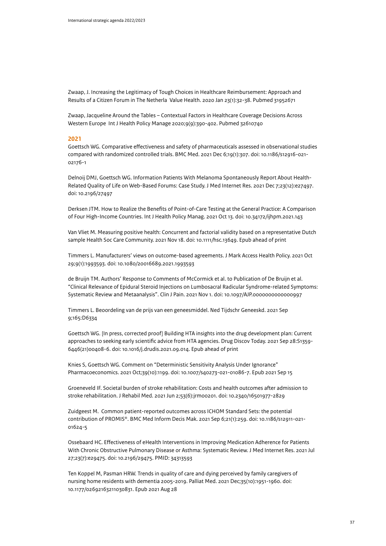Zwaap, J. Increasing the Legitimacy of Tough Choices in Healthcare Reimbursement: Approach and Results of a Citizen Forum in The Netherla Value Health. 2020 Jan 23(1):32-38. Pubmed 31952671

Zwaap, Jacqueline Around the Tables – Contextual Factors in Healthcare Coverage Decisions Across Western Europe Int J Health Policy Manage 2020;9(9):390-402. Pubmed 32610740

#### **2021**

Goettsch WG. Comparative effectiveness and safety of pharmaceuticals assessed in observational studies compared with randomized controlled trials. BMC Med. 2021 Dec 6;19(1):307. doi: 10.1186/s12916-021- 02176-1

Delnoij DMJ, Goettsch WG. Information Patients With Melanoma Spontaneously Report About Health-Related Quality of Life on Web-Based Forums: Case Study. J Med Internet Res. 2021 Dec 7;23(12):e27497. doi: 10.2196/27497

Derksen JTM. How to Realize the Benefits of Point-of-Care Testing at the General Practice: A Comparison of Four High-Income Countries. Int J Health Policy Manag. 2021 Oct 13. doi: 10.34172/ijhpm.2021.143

Van Vliet M. Measuring positive health: Concurrent and factorial validity based on a representative Dutch sample Health Soc Care Community. 2021 Nov 18. doi: 10.1111/hsc.13649. Epub ahead of print

Timmers L. Manufacturers' views on outcome-based agreements. J Mark Access Health Policy. 2021 Oct 29;9(1):1993593. doi: 10.1080/20016689.2021.1993593

de Bruijn TM. Authors' Response to Comments of McCormick et al. to Publication of De Bruijn et al. "Clinical Relevance of Epidural Steroid Injections on Lumbosacral Radicular Syndrome-related Symptoms: Systematic Review and Metaanalysis". Clin J Pain. 2021 Nov 1. doi: 10.1097/AJP.0000000000000997

Timmers L. Beoordeling van de prijs van een geneesmiddel. Ned Tijdschr Geneeskd. 2021 Sep 9;165:D6334

Goettsch WG. [In press, corrected proof] Building HTA insights into the drug development plan: Current approaches to seeking early scientific advice from HTA agencies. Drug Discov Today. 2021 Sep 28:S1359- 6446(21)00408-6. doi: 10.1016/j.drudis.2021.09.014. Epub ahead of print

Knies S, Goettsch WG. Comment on "Deterministic Sensitivity Analysis Under Ignorance" Pharmacoeconomics. 2021 Oct;39(10):1199. doi: 10.1007/s40273-021-01086-7. Epub 2021 Sep 15

Groeneveld IF. Societal burden of stroke rehabilitation: Costs and health outcomes after admission to stroke rehabilitation. J Rehabil Med. 2021 Jun 2;53(6):jrm00201. doi: 10.2340/16501977-2829

Zuidgeest M. Common patient-reported outcomes across ICHOM Standard Sets: the potential contribution of PROMIS®. BMC Med Inform Decis Mak. 2021 Sep 6;21(1):259. doi: 10.1186/s12911-021- 01624-5

Ossebaard HC. Effectiveness of eHealth Interventions in Improving Medication Adherence for Patients With Chronic Obstructive Pulmonary Disease or Asthma: Systematic Review. J Med Internet Res. 2021 Jul 27;23(7):e29475. doi: 10.2196/29475. PMID: 34313593

Ten Koppel M, Pasman HRW. Trends in quality of care and dying perceived by family caregivers of nursing home residents with dementia 2005-2019. Palliat Med. 2021 Dec;35(10):1951-1960. doi: 10.1177/02692163211030831. Epub 2021 Aug 28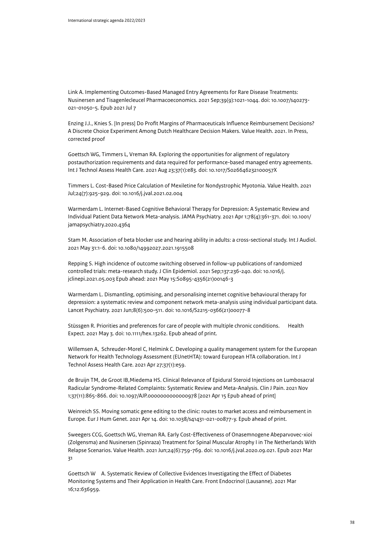Link A. Implementing Outcomes-Based Managed Entry Agreements for Rare Disease Treatments: Nusinersen and Tisagenlecleucel Pharmacoeconomics. 2021 Sep;39(9):1021-1044. doi: 10.1007/s40273- 021-01050-5. Epub 2021 Jul 7

Enzing J.J., Knies S. [In press] Do Profit Margins of Pharmaceuticals Influence Reimbursement Decisions? A Discrete Choice Experiment Among Dutch Healthcare Decision Makers. Value Health. 2021. In Press, corrected proof

Goettsch WG, Timmers L, Vreman RA. Exploring the opportunities for alignment of regulatory postauthorization requirements and data required for performance-based managed entry agreements. Int J Technol Assess Health Care. 2021 Aug 23;37(1):e83. doi: 10.1017/S026646232100057X

Timmers L. Cost-Based Price Calculation of Mexiletine for Nondystrophic Myotonia. Value Health. 2021 Jul;24(7):925-929. doi: 10.1016/j.jval.2021.02.004

Warmerdam L. Internet-Based Cognitive Behavioral Therapy for Depression: A Systematic Review and Individual Patient Data Network Meta-analysis. JAMA Psychiatry. 2021 Apr 1;78(4):361-371. doi: 10.1001/ jamapsychiatry.2020.4364

Stam M. Association of beta blocker use and hearing ability in adults: a cross-sectional study. Int J Audiol. 2021 May 31:1-6. doi: 10.1080/14992027.2021.1915508

Repping S. High incidence of outcome switching observed in follow-up publications of randomized controlled trials: meta-research study. J Clin Epidemiol. 2021 Sep;137:236-240. doi: 10.1016/j. jclinepi.2021.05.003 Epub ahead: 2021 May 15:S0895-4356(21)00146-3

Warmerdam L. Dismantling, optimising, and personalising internet cognitive behavioural therapy for depression: a systematic review and component network meta-analysis using individual participant data. Lancet Psychiatry. 2021 Jun;8(6):500-511. doi: 10.1016/S2215-0366(21)00077-8

Stüssgen R. Priorities and preferences for care of people with multiple chronic conditions. Health Expect. 2021 May 3. doi: 10.1111/hex.13262. Epub ahead of print.

Willemsen A, Schreuder-Morel C, Helmink C. Developing a quality management system for the European Network for Health Technology Assessment (EUnetHTA): toward European HTA collaboration. Int J Technol Assess Health Care. 2021 Apr 27;37(1):e59.

de Bruijn TM, de Groot IB,Miedema HS. Clinical Relevance of Epidural Steroid Injections on Lumbosacral Radicular Syndrome-Related Complaints: Systematic Review and Meta-Analysis. Clin J Pain. 2021 Nov 1;37(11):865-866. doi: 10.1097/AJP.0000000000000978 [2021 Apr 15 Epub ahead of print]

Weinreich SS. Moving somatic gene editing to the clinic: routes to market access and reimbursement in Europe. Eur J Hum Genet. 2021 Apr 14. doi: 10.1038/s41431-021-00877-y. Epub ahead of print.

Sweegers CCG, Goettsch WG, Vreman RA. Early Cost-Effectiveness of Onasemnogene Abeparvovec-xioi (Zolgensma) and Nusinersen (Spinraza) Treatment for Spinal Muscular Atrophy I in The Netherlands With Relapse Scenarios. Value Health. 2021 Jun;24(6):759-769. doi: 10.1016/j.jval.2020.09.021. Epub 2021 Mar 31

Goettsch W A. Systematic Review of Collective Evidences Investigating the Effect of Diabetes Monitoring Systems and Their Application in Health Care. Front Endocrinol (Lausanne). 2021 Mar 16;12:636959.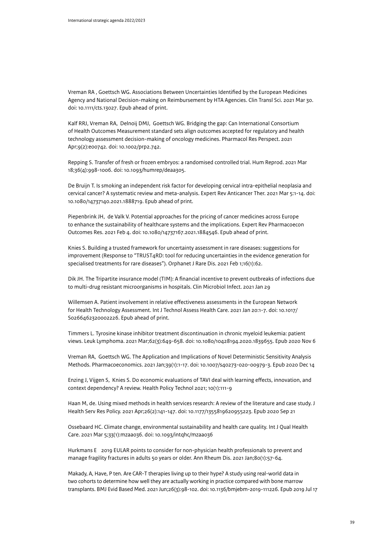Vreman RA , Goettsch WG. Associations Between Uncertainties Identified by the European Medicines Agency and National Decision-making on Reimbursement by HTA Agencies. Clin Transl Sci. 2021 Mar 30. doi: 10.1111/cts.13027. Epub ahead of print.

Kalf RRJ, Vreman RA, Delnoij DMJ, Goettsch WG. Bridging the gap: Can International Consortium of Health Outcomes Measurement standard sets align outcomes accepted for regulatory and health technology assessment decision-making of oncology medicines. Pharmacol Res Perspect. 2021 Apr;9(2):e00742. doi: 10.1002/prp2.742.

Repping S. Transfer of fresh or frozen embryos: a randomised controlled trial. Hum Reprod. 2021 Mar 18;36(4):998-1006. doi: 10.1093/humrep/deaa305.

De Bruijn T. Is smoking an independent risk factor for developing cervical intra-epithelial neoplasia and cervical cancer? A systematic review and meta-analysis. Expert Rev Anticancer Ther. 2021 Mar 5:1-14. doi: 10.1080/14737140.2021.1888719. Epub ahead of print.

Piepenbrink JH, de Valk V. Potential approaches for the pricing of cancer medicines across Europe to enhance the sustainability of healthcare systems and the implications. Expert Rev Pharmacoecon Outcomes Res. 2021 Feb 4. doi: 10.1080/14737167.2021.1884546. Epub ahead of print.

Knies S. Building a trusted framework for uncertainty assessment in rare diseases: suggestions for improvement (Response to "TRUST4RD: tool for reducing uncertainties in the evidence generation for specialised treatments for rare diseases"). Orphanet J Rare Dis. 2021 Feb 1;16(1):62.

Dik JH. The Tripartite insurance model (TIM): A financial incentive to prevent outbreaks of infections due to multi-drug resistant microorganisms in hospitals. Clin Microbiol Infect. 2021 Jan 29

Willemsen A. Patient involvement in relative effectiveness assessments in the European Network for Health Technology Assessment. Int J Technol Assess Health Care. 2021 Jan 20:1-7. doi: 10.1017/ S0266462320002226. Epub ahead of print.

Timmers L. Tyrosine kinase inhibitor treatment discontinuation in chronic myeloid leukemia: patient views. Leuk Lymphoma. 2021 Mar;62(3):649-658. doi: 10.1080/10428194.2020.1839655. Epub 2020 Nov 6

Vreman RA, Goettsch WG. The Application and Implications of Novel Deterministic Sensitivity Analysis Methods. Pharmacoeconomics. 2021 Jan;39(1):1-17. doi: 10.1007/s40273-020-00979-3. Epub 2020 Dec 14

Enzing J, Vijgen S, Knies S. Do economic evaluations of TAVI deal with learning effects, innovation, and context dependency? A review. Health Policy Technol 2021; 10(1):111-9

Haan M, de. Using mixed methods in health services research: A review of the literature and case study. J Health Serv Res Policy. 2021 Apr;26(2):141-147. doi: 10.1177/1355819620955223. Epub 2020 Sep 21

Ossebaard HC. Climate change, environmental sustainability and health care quality. Int J Qual Health Care. 2021 Mar 5;33(1):mzaa036. doi: 10.1093/intqhc/mzaa036

Hurkmans E 2019 EULAR points to consider for non-physician health professionals to prevent and manage fragility fractures in adults 50 years or older. Ann Rheum Dis. 2021 Jan;80(1):57-64.

Makady, A, Have, P ten. Are CAR-T therapies living up to their hype? A study using real-world data in two cohorts to determine how well they are actually working in practice compared with bone marrow transplants. BMJ Evid Based Med. 2021 Jun;26(3):98-102. doi: 10.1136/bmjebm-2019-111226. Epub 2019 Jul 17